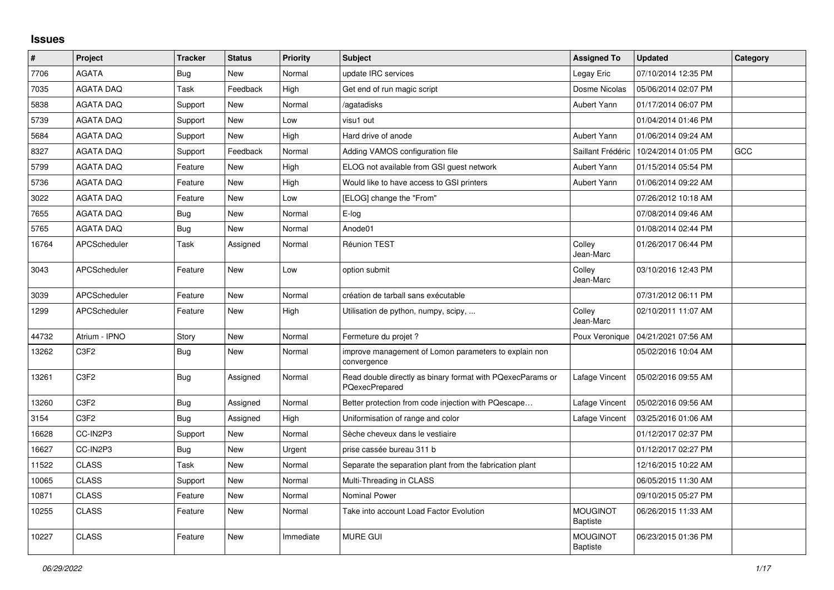## **Issues**

| #     | Project                       | <b>Tracker</b> | <b>Status</b> | <b>Priority</b> | <b>Subject</b>                                                               | <b>Assigned To</b>                 | <b>Updated</b>      | Category |
|-------|-------------------------------|----------------|---------------|-----------------|------------------------------------------------------------------------------|------------------------------------|---------------------|----------|
| 7706  | <b>AGATA</b>                  | Bug            | New           | Normal          | update IRC services                                                          | Legay Eric                         | 07/10/2014 12:35 PM |          |
| 7035  | <b>AGATA DAQ</b>              | Task           | Feedback      | High            | Get end of run magic script                                                  | Dosme Nicolas                      | 05/06/2014 02:07 PM |          |
| 5838  | <b>AGATA DAQ</b>              | Support        | New           | Normal          | agatadisks                                                                   | Aubert Yann                        | 01/17/2014 06:07 PM |          |
| 5739  | <b>AGATA DAQ</b>              | Support        | New           | Low             | visu1 out                                                                    |                                    | 01/04/2014 01:46 PM |          |
| 5684  | <b>AGATA DAQ</b>              | Support        | New           | High            | Hard drive of anode                                                          | Aubert Yann                        | 01/06/2014 09:24 AM |          |
| 8327  | <b>AGATA DAQ</b>              | Support        | Feedback      | Normal          | Adding VAMOS configuration file                                              | Saillant Frédéric                  | 10/24/2014 01:05 PM | GCC      |
| 5799  | <b>AGATA DAQ</b>              | Feature        | New           | High            | ELOG not available from GSI guest network                                    | Aubert Yann                        | 01/15/2014 05:54 PM |          |
| 5736  | <b>AGATA DAQ</b>              | Feature        | New           | High            | Would like to have access to GSI printers                                    | Aubert Yann                        | 01/06/2014 09:22 AM |          |
| 3022  | <b>AGATA DAQ</b>              | Feature        | New           | Low             | [ELOG] change the "From"                                                     |                                    | 07/26/2012 10:18 AM |          |
| 7655  | <b>AGATA DAQ</b>              | <b>Bug</b>     | New           | Normal          | E-log                                                                        |                                    | 07/08/2014 09:46 AM |          |
| 5765  | <b>AGATA DAQ</b>              | <b>Bug</b>     | New           | Normal          | Anode01                                                                      |                                    | 01/08/2014 02:44 PM |          |
| 16764 | <b>APCScheduler</b>           | Task           | Assigned      | Normal          | Réunion TEST                                                                 | Colley<br>Jean-Marc                | 01/26/2017 06:44 PM |          |
| 3043  | APCScheduler                  | Feature        | New           | Low             | option submit                                                                | Colley<br>Jean-Marc                | 03/10/2016 12:43 PM |          |
| 3039  | APCScheduler                  | Feature        | New           | Normal          | création de tarball sans exécutable                                          |                                    | 07/31/2012 06:11 PM |          |
| 1299  | APCScheduler                  | Feature        | New           | High            | Utilisation de python, numpy, scipy,                                         | Colley<br>Jean-Marc                | 02/10/2011 11:07 AM |          |
| 44732 | Atrium - IPNO                 | Story          | New           | Normal          | Fermeture du projet ?                                                        | Poux Veronique                     | 04/21/2021 07:56 AM |          |
| 13262 | C <sub>3</sub> F <sub>2</sub> | <b>Bug</b>     | New           | Normal          | improve management of Lomon parameters to explain non<br>convergence         |                                    | 05/02/2016 10:04 AM |          |
| 13261 | C <sub>3F2</sub>              | Bug            | Assigned      | Normal          | Read double directly as binary format with PQexecParams or<br>PQexecPrepared | Lafage Vincent                     | 05/02/2016 09:55 AM |          |
| 13260 | C <sub>3</sub> F <sub>2</sub> | Bug            | Assigned      | Normal          | Better protection from code injection with PQescape                          | Lafage Vincent                     | 05/02/2016 09:56 AM |          |
| 3154  | C <sub>3F2</sub>              | <b>Bug</b>     | Assigned      | High            | Uniformisation of range and color                                            | Lafage Vincent                     | 03/25/2016 01:06 AM |          |
| 16628 | CC-IN2P3                      | Support        | New           | Normal          | Sèche cheveux dans le vestiaire                                              |                                    | 01/12/2017 02:37 PM |          |
| 16627 | CC-IN2P3                      | Bug            | New           | Urgent          | prise cassée bureau 311 b                                                    |                                    | 01/12/2017 02:27 PM |          |
| 11522 | <b>CLASS</b>                  | Task           | <b>New</b>    | Normal          | Separate the separation plant from the fabrication plant                     |                                    | 12/16/2015 10:22 AM |          |
| 10065 | <b>CLASS</b>                  | Support        | New           | Normal          | Multi-Threading in CLASS                                                     |                                    | 06/05/2015 11:30 AM |          |
| 10871 | <b>CLASS</b>                  | Feature        | New           | Normal          | <b>Nominal Power</b>                                                         |                                    | 09/10/2015 05:27 PM |          |
| 10255 | <b>CLASS</b>                  | Feature        | New           | Normal          | Take into account Load Factor Evolution                                      | <b>MOUGINOT</b><br><b>Baptiste</b> | 06/26/2015 11:33 AM |          |
| 10227 | <b>CLASS</b>                  | Feature        | New           | Immediate       | <b>MURE GUI</b>                                                              | <b>MOUGINOT</b><br><b>Baptiste</b> | 06/23/2015 01:36 PM |          |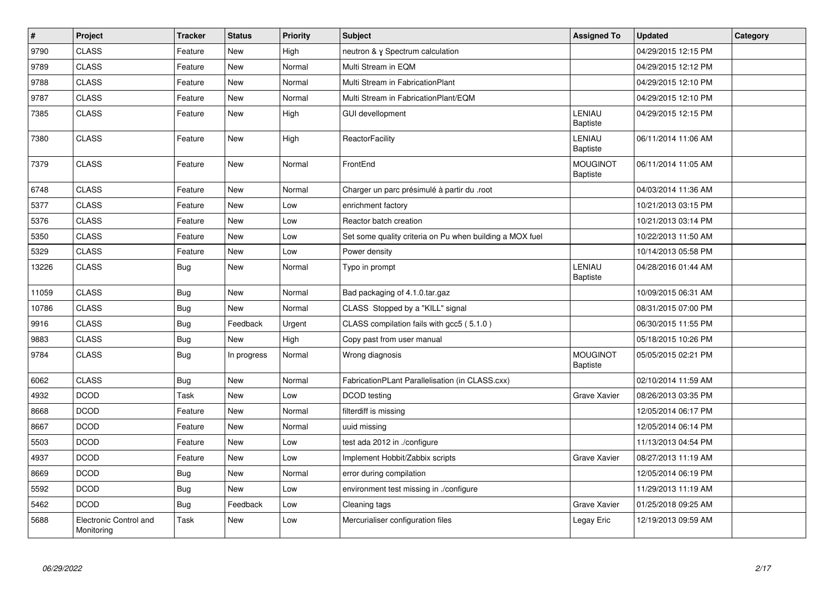| $\pmb{\#}$ | <b>Project</b>                       | <b>Tracker</b> | <b>Status</b> | <b>Priority</b> | <b>Subject</b>                                           | <b>Assigned To</b>                 | <b>Updated</b>      | Category |
|------------|--------------------------------------|----------------|---------------|-----------------|----------------------------------------------------------|------------------------------------|---------------------|----------|
| 9790       | <b>CLASS</b>                         | Feature        | New           | High            | neutron & γ Spectrum calculation                         |                                    | 04/29/2015 12:15 PM |          |
| 9789       | <b>CLASS</b>                         | Feature        | New           | Normal          | Multi Stream in EQM                                      |                                    | 04/29/2015 12:12 PM |          |
| 9788       | <b>CLASS</b>                         | Feature        | New           | Normal          | Multi Stream in FabricationPlant                         |                                    | 04/29/2015 12:10 PM |          |
| 9787       | <b>CLASS</b>                         | Feature        | New           | Normal          | Multi Stream in FabricationPlant/EQM                     |                                    | 04/29/2015 12:10 PM |          |
| 7385       | <b>CLASS</b>                         | Feature        | New           | High            | <b>GUI devellopment</b>                                  | LENIAU<br><b>Baptiste</b>          | 04/29/2015 12:15 PM |          |
| 7380       | <b>CLASS</b>                         | Feature        | New           | High            | <b>ReactorFacility</b>                                   | LENIAU<br><b>Baptiste</b>          | 06/11/2014 11:06 AM |          |
| 7379       | <b>CLASS</b>                         | Feature        | New           | Normal          | FrontEnd                                                 | <b>MOUGINOT</b><br><b>Baptiste</b> | 06/11/2014 11:05 AM |          |
| 6748       | <b>CLASS</b>                         | Feature        | New           | Normal          | Charger un parc présimulé à partir du .root              |                                    | 04/03/2014 11:36 AM |          |
| 5377       | <b>CLASS</b>                         | Feature        | New           | Low             | enrichment factory                                       |                                    | 10/21/2013 03:15 PM |          |
| 5376       | <b>CLASS</b>                         | Feature        | New           | Low             | Reactor batch creation                                   |                                    | 10/21/2013 03:14 PM |          |
| 5350       | <b>CLASS</b>                         | Feature        | New           | Low             | Set some quality criteria on Pu when building a MOX fuel |                                    | 10/22/2013 11:50 AM |          |
| 5329       | <b>CLASS</b>                         | Feature        | New           | Low             | Power density                                            |                                    | 10/14/2013 05:58 PM |          |
| 13226      | <b>CLASS</b>                         | Bug            | New           | Normal          | Typo in prompt                                           | LENIAU<br><b>Baptiste</b>          | 04/28/2016 01:44 AM |          |
| 11059      | <b>CLASS</b>                         | <b>Bug</b>     | <b>New</b>    | Normal          | Bad packaging of 4.1.0.tar.gaz                           |                                    | 10/09/2015 06:31 AM |          |
| 10786      | <b>CLASS</b>                         | <b>Bug</b>     | New           | Normal          | CLASS Stopped by a "KILL" signal                         |                                    | 08/31/2015 07:00 PM |          |
| 9916       | <b>CLASS</b>                         | <b>Bug</b>     | Feedback      | Urgent          | CLASS compilation fails with gcc5 (5.1.0)                |                                    | 06/30/2015 11:55 PM |          |
| 9883       | <b>CLASS</b>                         | <b>Bug</b>     | <b>New</b>    | High            | Copy past from user manual                               |                                    | 05/18/2015 10:26 PM |          |
| 9784       | <b>CLASS</b>                         | <b>Bug</b>     | In progress   | Normal          | Wrong diagnosis                                          | <b>MOUGINOT</b><br><b>Baptiste</b> | 05/05/2015 02:21 PM |          |
| 6062       | <b>CLASS</b>                         | <b>Bug</b>     | New           | Normal          | FabricationPLant Parallelisation (in CLASS.cxx)          |                                    | 02/10/2014 11:59 AM |          |
| 4932       | <b>DCOD</b>                          | Task           | <b>New</b>    | Low             | DCOD testing                                             | <b>Grave Xavier</b>                | 08/26/2013 03:35 PM |          |
| 8668       | <b>DCOD</b>                          | Feature        | New           | Normal          | filterdiff is missing                                    |                                    | 12/05/2014 06:17 PM |          |
| 8667       | <b>DCOD</b>                          | Feature        | New           | Normal          | uuid missing                                             |                                    | 12/05/2014 06:14 PM |          |
| 5503       | <b>DCOD</b>                          | Feature        | New           | Low             | test ada 2012 in ./configure                             |                                    | 11/13/2013 04:54 PM |          |
| 4937       | <b>DCOD</b>                          | Feature        | New           | Low             | Implement Hobbit/Zabbix scripts                          | <b>Grave Xavier</b>                | 08/27/2013 11:19 AM |          |
| 8669       | <b>DCOD</b>                          | <b>Bug</b>     | New           | Normal          | error during compilation                                 |                                    | 12/05/2014 06:19 PM |          |
| 5592       | <b>DCOD</b>                          | <b>Bug</b>     | New           | Low             | environment test missing in ./configure                  |                                    | 11/29/2013 11:19 AM |          |
| 5462       | <b>DCOD</b>                          | <b>Bug</b>     | Feedback      | Low             | Cleaning tags                                            | Grave Xavier                       | 01/25/2018 09:25 AM |          |
| 5688       | Electronic Control and<br>Monitoring | Task           | New           | Low             | Mercurialiser configuration files                        | Legay Eric                         | 12/19/2013 09:59 AM |          |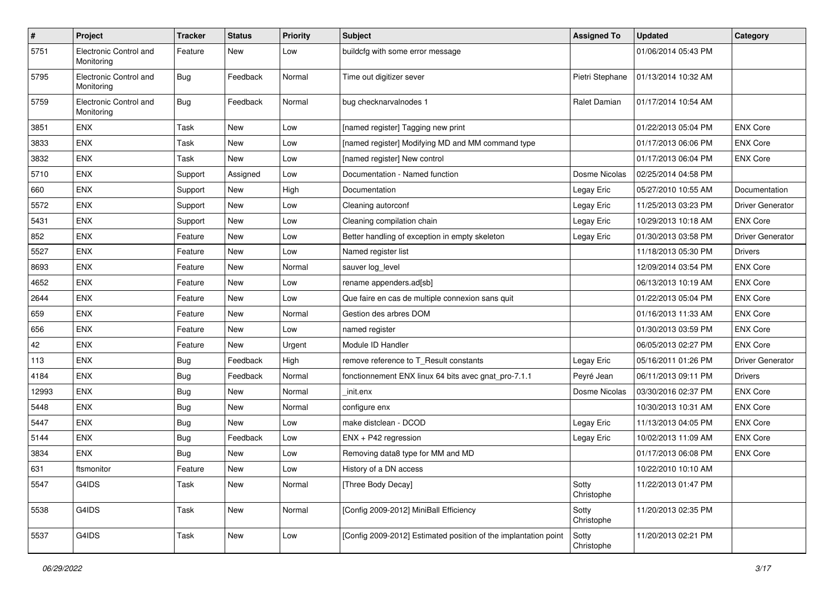| $\sharp$ | <b>Project</b>                       | <b>Tracker</b> | <b>Status</b> | <b>Priority</b> | <b>Subject</b>                                                  | <b>Assigned To</b>  | <b>Updated</b>      | Category                |
|----------|--------------------------------------|----------------|---------------|-----------------|-----------------------------------------------------------------|---------------------|---------------------|-------------------------|
| 5751     | Electronic Control and<br>Monitoring | Feature        | New           | Low             | buildcfg with some error message                                |                     | 01/06/2014 05:43 PM |                         |
| 5795     | Electronic Control and<br>Monitoring | <b>Bug</b>     | Feedback      | Normal          | Time out digitizer sever                                        | Pietri Stephane     | 01/13/2014 10:32 AM |                         |
| 5759     | Electronic Control and<br>Monitoring | <b>Bug</b>     | Feedback      | Normal          | bug checknarvalnodes 1                                          | Ralet Damian        | 01/17/2014 10:54 AM |                         |
| 3851     | ENX                                  | Task           | New           | Low             | [named register] Tagging new print                              |                     | 01/22/2013 05:04 PM | <b>ENX Core</b>         |
| 3833     | <b>ENX</b>                           | Task           | New           | Low             | [named register] Modifying MD and MM command type               |                     | 01/17/2013 06:06 PM | <b>ENX Core</b>         |
| 3832     | ENX                                  | Task           | New           | Low             | [named register] New control                                    |                     | 01/17/2013 06:04 PM | <b>ENX Core</b>         |
| 5710     | ENX                                  | Support        | Assigned      | Low             | Documentation - Named function                                  | Dosme Nicolas       | 02/25/2014 04:58 PM |                         |
| 660      | ENX                                  | Support        | New           | High            | Documentation                                                   | Legay Eric          | 05/27/2010 10:55 AM | Documentation           |
| 5572     | <b>ENX</b>                           | Support        | New           | Low             | Cleaning autorconf                                              | Legay Eric          | 11/25/2013 03:23 PM | <b>Driver Generator</b> |
| 5431     | <b>ENX</b>                           | Support        | New           | Low             | Cleaning compilation chain                                      | Legay Eric          | 10/29/2013 10:18 AM | <b>ENX Core</b>         |
| 852      | <b>ENX</b>                           | Feature        | New           | Low             | Better handling of exception in empty skeleton                  | Legay Eric          | 01/30/2013 03:58 PM | <b>Driver Generator</b> |
| 5527     | ENX                                  | Feature        | New           | Low             | Named register list                                             |                     | 11/18/2013 05:30 PM | <b>Drivers</b>          |
| 8693     | ENX                                  | Feature        | New           | Normal          | sauver log_level                                                |                     | 12/09/2014 03:54 PM | <b>ENX Core</b>         |
| 4652     | <b>ENX</b>                           | Feature        | New           | Low             | rename appenders.ad[sb]                                         |                     | 06/13/2013 10:19 AM | <b>ENX Core</b>         |
| 2644     | ENX                                  | Feature        | New           | Low             | Que faire en cas de multiple connexion sans quit                |                     | 01/22/2013 05:04 PM | <b>ENX Core</b>         |
| 659      | <b>ENX</b>                           | Feature        | New           | Normal          | Gestion des arbres DOM                                          |                     | 01/16/2013 11:33 AM | <b>ENX Core</b>         |
| 656      | ENX                                  | Feature        | New           | Low             | named register                                                  |                     | 01/30/2013 03:59 PM | <b>ENX Core</b>         |
| 42       | ENX                                  | Feature        | New           | Urgent          | Module ID Handler                                               |                     | 06/05/2013 02:27 PM | <b>ENX Core</b>         |
| 113      | ENX                                  | Bug            | Feedback      | High            | remove reference to T_Result constants                          | Legay Eric          | 05/16/2011 01:26 PM | <b>Driver Generator</b> |
| 4184     | ENX                                  | <b>Bug</b>     | Feedback      | Normal          | fonctionnement ENX linux 64 bits avec gnat_pro-7.1.1            | Peyré Jean          | 06/11/2013 09:11 PM | <b>Drivers</b>          |
| 12993    | ENX                                  | Bug            | New           | Normal          | init.enx                                                        | Dosme Nicolas       | 03/30/2016 02:37 PM | <b>ENX Core</b>         |
| 5448     | <b>ENX</b>                           | <b>Bug</b>     | <b>New</b>    | Normal          | configure enx                                                   |                     | 10/30/2013 10:31 AM | <b>ENX Core</b>         |
| 5447     | ENX                                  | <b>Bug</b>     | New           | Low             | make distclean - DCOD                                           | Legay Eric          | 11/13/2013 04:05 PM | <b>ENX Core</b>         |
| 5144     | ENX                                  | <b>Bug</b>     | Feedback      | Low             | ENX + P42 regression                                            | Legay Eric          | 10/02/2013 11:09 AM | <b>ENX Core</b>         |
| 3834     | ENX                                  | <b>Bug</b>     | New           | Low             | Removing data8 type for MM and MD                               |                     | 01/17/2013 06:08 PM | <b>ENX Core</b>         |
| 631      | ftsmonitor                           | Feature        | New           | Low             | History of a DN access                                          |                     | 10/22/2010 10:10 AM |                         |
| 5547     | G4IDS                                | Task           | New           | Normal          | Three Body Decay]                                               | Sotty<br>Christophe | 11/22/2013 01:47 PM |                         |
| 5538     | G4IDS                                | Task           | New           | Normal          | [Config 2009-2012] MiniBall Efficiency                          | Sotty<br>Christophe | 11/20/2013 02:35 PM |                         |
| 5537     | G4IDS                                | Task           | New           | Low             | [Config 2009-2012] Estimated position of the implantation point | Sotty<br>Christophe | 11/20/2013 02:21 PM |                         |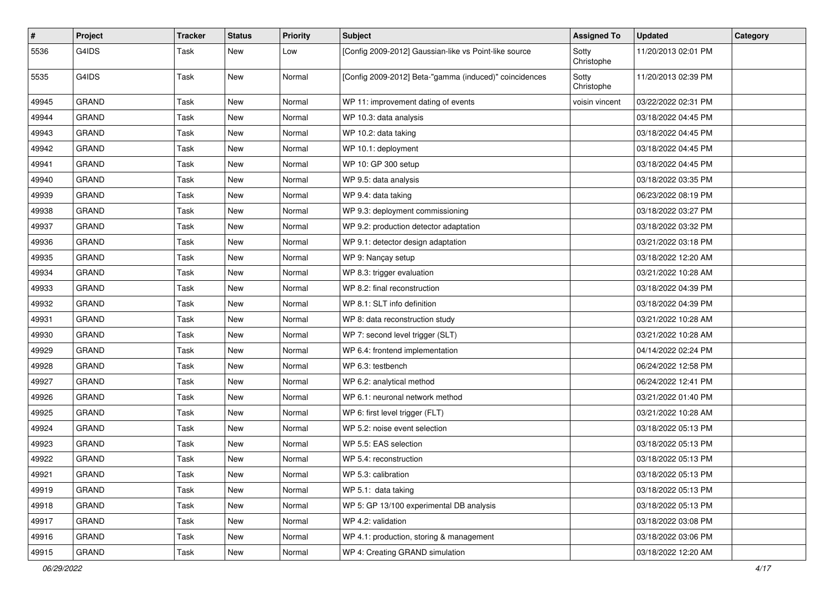| #     | <b>Project</b> | <b>Tracker</b> | <b>Status</b> | <b>Priority</b> | Subject                                                | <b>Assigned To</b>  | <b>Updated</b>      | Category |
|-------|----------------|----------------|---------------|-----------------|--------------------------------------------------------|---------------------|---------------------|----------|
| 5536  | G4IDS          | Task           | New           | Low             | [Config 2009-2012] Gaussian-like vs Point-like source  | Sotty<br>Christophe | 11/20/2013 02:01 PM |          |
| 5535  | G4IDS          | Task           | New           | Normal          | [Config 2009-2012] Beta-"gamma (induced)" coincidences | Sotty<br>Christophe | 11/20/2013 02:39 PM |          |
| 49945 | <b>GRAND</b>   | Task           | New           | Normal          | WP 11: improvement dating of events                    | voisin vincent      | 03/22/2022 02:31 PM |          |
| 49944 | <b>GRAND</b>   | Task           | New           | Normal          | WP 10.3: data analysis                                 |                     | 03/18/2022 04:45 PM |          |
| 49943 | <b>GRAND</b>   | Task           | New           | Normal          | WP 10.2: data taking                                   |                     | 03/18/2022 04:45 PM |          |
| 49942 | <b>GRAND</b>   | Task           | New           | Normal          | WP 10.1: deployment                                    |                     | 03/18/2022 04:45 PM |          |
| 49941 | <b>GRAND</b>   | Task           | New           | Normal          | WP 10: GP 300 setup                                    |                     | 03/18/2022 04:45 PM |          |
| 49940 | GRAND          | Task           | New           | Normal          | WP 9.5: data analysis                                  |                     | 03/18/2022 03:35 PM |          |
| 49939 | <b>GRAND</b>   | Task           | New           | Normal          | WP 9.4: data taking                                    |                     | 06/23/2022 08:19 PM |          |
| 49938 | <b>GRAND</b>   | Task           | New           | Normal          | WP 9.3: deployment commissioning                       |                     | 03/18/2022 03:27 PM |          |
| 49937 | <b>GRAND</b>   | Task           | New           | Normal          | WP 9.2: production detector adaptation                 |                     | 03/18/2022 03:32 PM |          |
| 49936 | <b>GRAND</b>   | Task           | New           | Normal          | WP 9.1: detector design adaptation                     |                     | 03/21/2022 03:18 PM |          |
| 49935 | GRAND          | <b>Task</b>    | New           | Normal          | WP 9: Nançay setup                                     |                     | 03/18/2022 12:20 AM |          |
| 49934 | <b>GRAND</b>   | Task           | New           | Normal          | WP 8.3: trigger evaluation                             |                     | 03/21/2022 10:28 AM |          |
| 49933 | <b>GRAND</b>   | Task           | New           | Normal          | WP 8.2: final reconstruction                           |                     | 03/18/2022 04:39 PM |          |
| 49932 | <b>GRAND</b>   | Task           | New           | Normal          | WP 8.1: SLT info definition                            |                     | 03/18/2022 04:39 PM |          |
| 49931 | <b>GRAND</b>   | Task           | New           | Normal          | WP 8: data reconstruction study                        |                     | 03/21/2022 10:28 AM |          |
| 49930 | <b>GRAND</b>   | <b>Task</b>    | New           | Normal          | WP 7: second level trigger (SLT)                       |                     | 03/21/2022 10:28 AM |          |
| 49929 | <b>GRAND</b>   | Task           | New           | Normal          | WP 6.4: frontend implementation                        |                     | 04/14/2022 02:24 PM |          |
| 49928 | <b>GRAND</b>   | Task           | New           | Normal          | WP 6.3: testbench                                      |                     | 06/24/2022 12:58 PM |          |
| 49927 | <b>GRAND</b>   | <b>Task</b>    | New           | Normal          | WP 6.2: analytical method                              |                     | 06/24/2022 12:41 PM |          |
| 49926 | <b>GRAND</b>   | Task           | New           | Normal          | WP 6.1: neuronal network method                        |                     | 03/21/2022 01:40 PM |          |
| 49925 | <b>GRAND</b>   | Task           | New           | Normal          | WP 6: first level trigger (FLT)                        |                     | 03/21/2022 10:28 AM |          |
| 49924 | <b>GRAND</b>   | Task           | New           | Normal          | WP 5.2: noise event selection                          |                     | 03/18/2022 05:13 PM |          |
| 49923 | <b>GRAND</b>   | Task           | New           | Normal          | WP 5.5: EAS selection                                  |                     | 03/18/2022 05:13 PM |          |
| 49922 | <b>GRAND</b>   | Task           | New           | Normal          | WP 5.4: reconstruction                                 |                     | 03/18/2022 05:13 PM |          |
| 49921 | GRAND          | Task           | New           | Normal          | WP 5.3: calibration                                    |                     | 03/18/2022 05:13 PM |          |
| 49919 | <b>GRAND</b>   | Task           | New           | Normal          | WP 5.1: data taking                                    |                     | 03/18/2022 05:13 PM |          |
| 49918 | GRAND          | Task           | New           | Normal          | WP 5: GP 13/100 experimental DB analysis               |                     | 03/18/2022 05:13 PM |          |
| 49917 | GRAND          | Task           | New           | Normal          | WP 4.2: validation                                     |                     | 03/18/2022 03:08 PM |          |
| 49916 | GRAND          | Task           | New           | Normal          | WP 4.1: production, storing & management               |                     | 03/18/2022 03:06 PM |          |
| 49915 | GRAND          | Task           | New           | Normal          | WP 4: Creating GRAND simulation                        |                     | 03/18/2022 12:20 AM |          |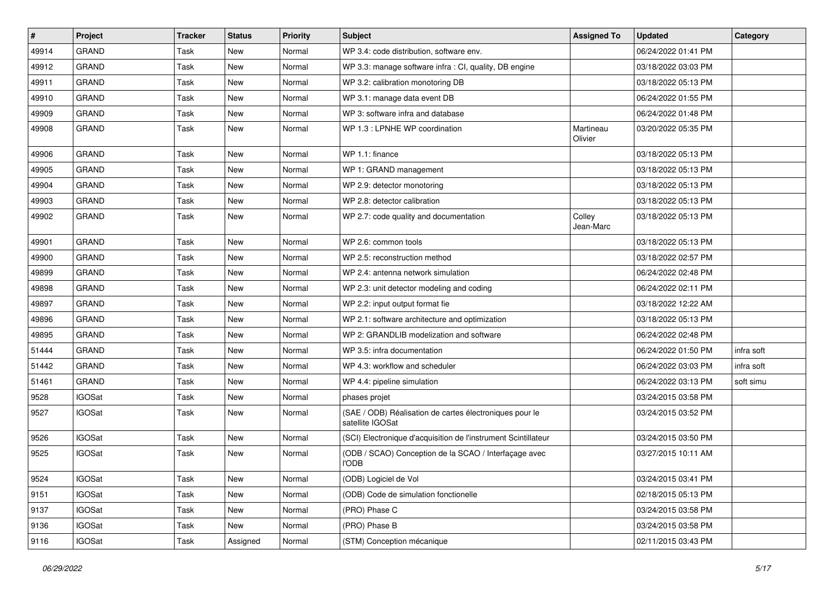| $\vert$ # | Project       | <b>Tracker</b> | <b>Status</b> | <b>Priority</b> | <b>Subject</b>                                                              | <b>Assigned To</b>   | <b>Updated</b>      | Category   |
|-----------|---------------|----------------|---------------|-----------------|-----------------------------------------------------------------------------|----------------------|---------------------|------------|
| 49914     | <b>GRAND</b>  | Task           | New           | Normal          | WP 3.4: code distribution, software env.                                    |                      | 06/24/2022 01:41 PM |            |
| 49912     | <b>GRAND</b>  | Task           | New           | Normal          | WP 3.3: manage software infra : CI, quality, DB engine                      |                      | 03/18/2022 03:03 PM |            |
| 49911     | <b>GRAND</b>  | Task           | New           | Normal          | WP 3.2: calibration monotoring DB                                           |                      | 03/18/2022 05:13 PM |            |
| 49910     | <b>GRAND</b>  | Task           | New           | Normal          | WP 3.1: manage data event DB                                                |                      | 06/24/2022 01:55 PM |            |
| 49909     | <b>GRAND</b>  | Task           | New           | Normal          | WP 3: software infra and database                                           |                      | 06/24/2022 01:48 PM |            |
| 49908     | <b>GRAND</b>  | Task           | New           | Normal          | WP 1.3 : LPNHE WP coordination                                              | Martineau<br>Olivier | 03/20/2022 05:35 PM |            |
| 49906     | <b>GRAND</b>  | Task           | New           | Normal          | WP 1.1: finance                                                             |                      | 03/18/2022 05:13 PM |            |
| 49905     | <b>GRAND</b>  | Task           | New           | Normal          | WP 1: GRAND management                                                      |                      | 03/18/2022 05:13 PM |            |
| 49904     | <b>GRAND</b>  | Task           | New           | Normal          | WP 2.9: detector monotoring                                                 |                      | 03/18/2022 05:13 PM |            |
| 49903     | GRAND         | Task           | New           | Normal          | WP 2.8: detector calibration                                                |                      | 03/18/2022 05:13 PM |            |
| 49902     | <b>GRAND</b>  | Task           | New           | Normal          | WP 2.7: code quality and documentation                                      | Colley<br>Jean-Marc  | 03/18/2022 05:13 PM |            |
| 49901     | GRAND         | Task           | New           | Normal          | WP 2.6: common tools                                                        |                      | 03/18/2022 05:13 PM |            |
| 49900     | <b>GRAND</b>  | Task           | <b>New</b>    | Normal          | WP 2.5: reconstruction method                                               |                      | 03/18/2022 02:57 PM |            |
| 49899     | <b>GRAND</b>  | Task           | New           | Normal          | WP 2.4: antenna network simulation                                          |                      | 06/24/2022 02:48 PM |            |
| 49898     | <b>GRAND</b>  | Task           | New           | Normal          | WP 2.3: unit detector modeling and coding                                   |                      | 06/24/2022 02:11 PM |            |
| 49897     | <b>GRAND</b>  | Task           | New           | Normal          | WP 2.2: input output format fie                                             |                      | 03/18/2022 12:22 AM |            |
| 49896     | <b>GRAND</b>  | Task           | New           | Normal          | WP 2.1: software architecture and optimization                              |                      | 03/18/2022 05:13 PM |            |
| 49895     | <b>GRAND</b>  | Task           | <b>New</b>    | Normal          | WP 2: GRANDLIB modelization and software                                    |                      | 06/24/2022 02:48 PM |            |
| 51444     | <b>GRAND</b>  | Task           | New           | Normal          | WP 3.5: infra documentation                                                 |                      | 06/24/2022 01:50 PM | infra soft |
| 51442     | <b>GRAND</b>  | Task           | New           | Normal          | WP 4.3: workflow and scheduler                                              |                      | 06/24/2022 03:03 PM | infra soft |
| 51461     | <b>GRAND</b>  | Task           | New           | Normal          | WP 4.4: pipeline simulation                                                 |                      | 06/24/2022 03:13 PM | soft simu  |
| 9528      | <b>IGOSat</b> | Task           | New           | Normal          | phases projet                                                               |                      | 03/24/2015 03:58 PM |            |
| 9527      | <b>IGOSat</b> | Task           | New           | Normal          | (SAE / ODB) Réalisation de cartes électroniques pour le<br>satellite IGOSat |                      | 03/24/2015 03:52 PM |            |
| 9526      | <b>IGOSat</b> | Task           | New           | Normal          | (SCI) Electronique d'acquisition de l'instrument Scintillateur              |                      | 03/24/2015 03:50 PM |            |
| 9525      | <b>IGOSat</b> | Task           | New           | Normal          | (ODB / SCAO) Conception de la SCAO / Interfaçage avec<br><b>I'ODB</b>       |                      | 03/27/2015 10:11 AM |            |
| 9524      | <b>IGOSat</b> | Task           | New           | Normal          | (ODB) Logiciel de Vol                                                       |                      | 03/24/2015 03:41 PM |            |
| 9151      | <b>IGOSat</b> | Task           | New           | Normal          | (ODB) Code de simulation fonctionelle                                       |                      | 02/18/2015 05:13 PM |            |
| 9137      | <b>IGOSat</b> | Task           | New           | Normal          | (PRO) Phase C                                                               |                      | 03/24/2015 03:58 PM |            |
| 9136      | <b>IGOSat</b> | Task           | New           | Normal          | (PRO) Phase B                                                               |                      | 03/24/2015 03:58 PM |            |
| 9116      | <b>IGOSat</b> | Task           | Assigned      | Normal          | (STM) Conception mécanique                                                  |                      | 02/11/2015 03:43 PM |            |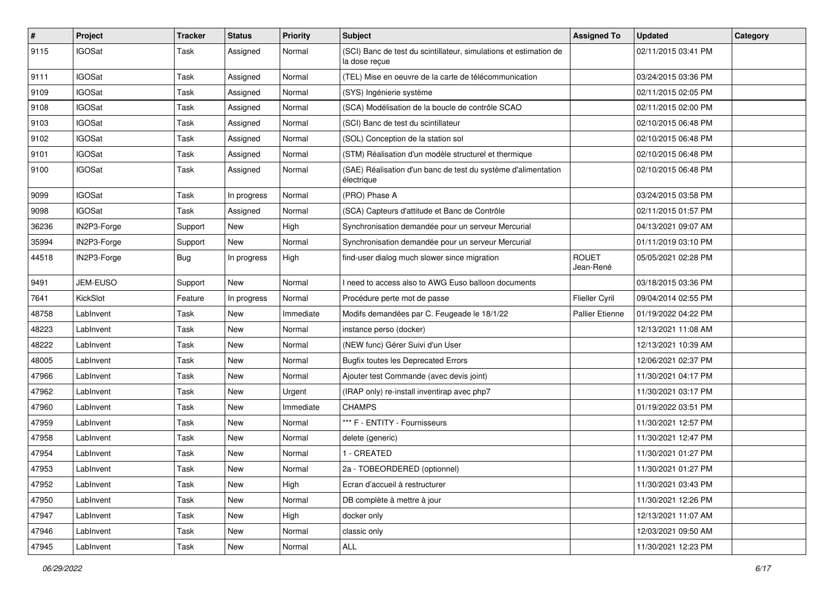| $\pmb{\#}$ | <b>Project</b> | <b>Tracker</b> | <b>Status</b> | <b>Priority</b> | Subject                                                                            | <b>Assigned To</b>        | <b>Updated</b>      | Category |
|------------|----------------|----------------|---------------|-----------------|------------------------------------------------------------------------------------|---------------------------|---------------------|----------|
| 9115       | <b>IGOSat</b>  | Task           | Assigned      | Normal          | (SCI) Banc de test du scintillateur, simulations et estimation de<br>la dose reçue |                           | 02/11/2015 03:41 PM |          |
| 9111       | <b>IGOSat</b>  | Task           | Assigned      | Normal          | (TEL) Mise en oeuvre de la carte de télécommunication                              |                           | 03/24/2015 03:36 PM |          |
| 9109       | <b>IGOSat</b>  | Task           | Assigned      | Normal          | (SYS) Ingénierie système                                                           |                           | 02/11/2015 02:05 PM |          |
| 9108       | <b>IGOSat</b>  | Task           | Assigned      | Normal          | (SCA) Modélisation de la boucle de contrôle SCAO                                   |                           | 02/11/2015 02:00 PM |          |
| 9103       | <b>IGOSat</b>  | Task           | Assigned      | Normal          | (SCI) Banc de test du scintillateur                                                |                           | 02/10/2015 06:48 PM |          |
| 9102       | <b>IGOSat</b>  | Task           | Assigned      | Normal          | (SOL) Conception de la station sol                                                 |                           | 02/10/2015 06:48 PM |          |
| 9101       | <b>IGOSat</b>  | Task           | Assigned      | Normal          | (STM) Réalisation d'un modèle structurel et thermique                              |                           | 02/10/2015 06:48 PM |          |
| 9100       | <b>IGOSat</b>  | Task           | Assigned      | Normal          | (SAE) Réalisation d'un banc de test du système d'alimentation<br>électrique        |                           | 02/10/2015 06:48 PM |          |
| 9099       | <b>IGOSat</b>  | Task           | In progress   | Normal          | (PRO) Phase A                                                                      |                           | 03/24/2015 03:58 PM |          |
| 9098       | <b>IGOSat</b>  | Task           | Assigned      | Normal          | (SCA) Capteurs d'attitude et Banc de Contrôle                                      |                           | 02/11/2015 01:57 PM |          |
| 36236      | IN2P3-Forge    | Support        | New           | High            | Synchronisation demandée pour un serveur Mercurial                                 |                           | 04/13/2021 09:07 AM |          |
| 35994      | IN2P3-Forge    | Support        | New           | Normal          | Synchronisation demandée pour un serveur Mercurial                                 |                           | 01/11/2019 03:10 PM |          |
| 44518      | IN2P3-Forge    | <b>Bug</b>     | In progress   | High            | find-user dialog much slower since migration                                       | <b>ROUET</b><br>Jean-René | 05/05/2021 02:28 PM |          |
| 9491       | JEM-EUSO       | Support        | New           | Normal          | need to access also to AWG Euso balloon documents                                  |                           | 03/18/2015 03:36 PM |          |
| 7641       | KickSlot       | Feature        | In progress   | Normal          | Procédure perte mot de passe                                                       | Flieller Cyril            | 09/04/2014 02:55 PM |          |
| 48758      | LabInvent      | Task           | New           | Immediate       | Modifs demandées par C. Feugeade le 18/1/22                                        | <b>Pallier Etienne</b>    | 01/19/2022 04:22 PM |          |
| 48223      | LabInvent      | Task           | New           | Normal          | instance perso (docker)                                                            |                           | 12/13/2021 11:08 AM |          |
| 48222      | LabInvent      | Task           | New           | Normal          | (NEW func) Gérer Suivi d'un User                                                   |                           | 12/13/2021 10:39 AM |          |
| 48005      | LabInvent      | Task           | New           | Normal          | <b>Bugfix toutes les Deprecated Errors</b>                                         |                           | 12/06/2021 02:37 PM |          |
| 47966      | LabInvent      | Task           | New           | Normal          | Ajouter test Commande (avec devis joint)                                           |                           | 11/30/2021 04:17 PM |          |
| 47962      | LabInvent      | Task           | New           | Urgent          | (IRAP only) re-install inventirap avec php7                                        |                           | 11/30/2021 03:17 PM |          |
| 47960      | LabInvent      | Task           | New           | Immediate       | <b>CHAMPS</b>                                                                      |                           | 01/19/2022 03:51 PM |          |
| 47959      | LabInvent      | Task           | New           | Normal          | *** F - ENTITY - Fournisseurs                                                      |                           | 11/30/2021 12:57 PM |          |
| 47958      | LabInvent      | Task           | New           | Normal          | delete (generic)                                                                   |                           | 11/30/2021 12:47 PM |          |
| 47954      | LabInvent      | Task           | New           | Normal          | 1 - CREATED                                                                        |                           | 11/30/2021 01:27 PM |          |
| 47953      | LabInvent      | Task           | New           | Normal          | 2a - TOBEORDERED (optionnel)                                                       |                           | 11/30/2021 01:27 PM |          |
| 47952      | LabInvent      | Task           | New           | High            | Ecran d'accueil à restructurer                                                     |                           | 11/30/2021 03:43 PM |          |
| 47950      | LabInvent      | Task           | New           | Normal          | DB complète à mettre à jour                                                        |                           | 11/30/2021 12:26 PM |          |
| 47947      | LabInvent      | Task           | New           | High            | docker only                                                                        |                           | 12/13/2021 11:07 AM |          |
| 47946      | LabInvent      | Task           | New           | Normal          | classic only                                                                       |                           | 12/03/2021 09:50 AM |          |
| 47945      | LabInvent      | Task           | New           | Normal          | ALL                                                                                |                           | 11/30/2021 12:23 PM |          |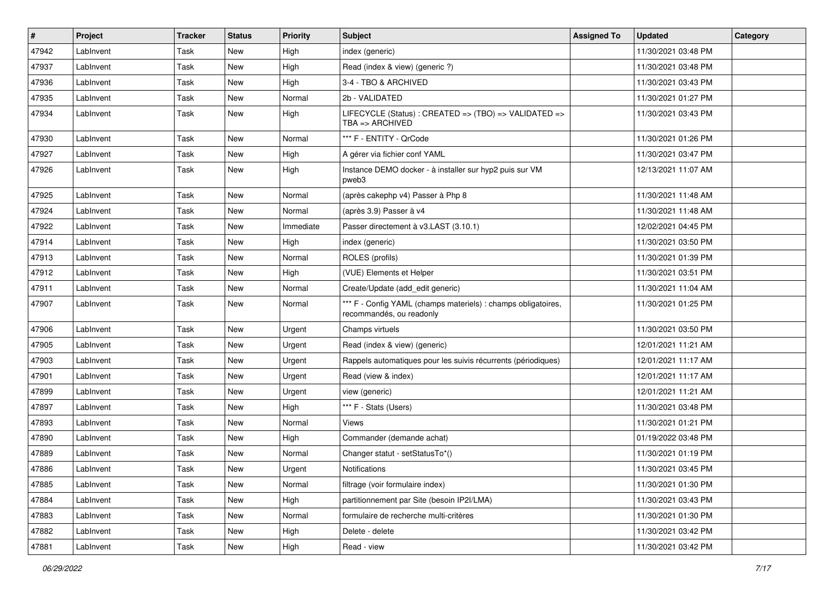| #     | <b>Project</b> | <b>Tracker</b> | <b>Status</b> | <b>Priority</b> | <b>Subject</b>                                                                            | <b>Assigned To</b> | <b>Updated</b>      | Category |
|-------|----------------|----------------|---------------|-----------------|-------------------------------------------------------------------------------------------|--------------------|---------------------|----------|
| 47942 | LabInvent      | <b>Task</b>    | New           | High            | index (generic)                                                                           |                    | 11/30/2021 03:48 PM |          |
| 47937 | LabInvent      | <b>Task</b>    | New           | High            | Read (index & view) (generic ?)                                                           |                    | 11/30/2021 03:48 PM |          |
| 47936 | LabInvent      | Task           | New           | High            | 3-4 - TBO & ARCHIVED                                                                      |                    | 11/30/2021 03:43 PM |          |
| 47935 | LabInvent      | Task           | New           | Normal          | 2b - VALIDATED                                                                            |                    | 11/30/2021 01:27 PM |          |
| 47934 | LabInvent      | Task           | New           | High            | LIFECYCLE (Status) : CREATED => (TBO) => VALIDATED =><br>$TBA \Rightarrow ARCHIVED$       |                    | 11/30/2021 03:43 PM |          |
| 47930 | LabInvent      | Task           | <b>New</b>    | Normal          | *** F - ENTITY - QrCode                                                                   |                    | 11/30/2021 01:26 PM |          |
| 47927 | LabInvent      | Task           | New           | High            | A gérer via fichier conf YAML                                                             |                    | 11/30/2021 03:47 PM |          |
| 47926 | LabInvent      | Task           | New           | High            | Instance DEMO docker - à installer sur hyp2 puis sur VM<br>pweb3                          |                    | 12/13/2021 11:07 AM |          |
| 47925 | LabInvent      | <b>Task</b>    | New           | Normal          | (après cakephp v4) Passer à Php 8                                                         |                    | 11/30/2021 11:48 AM |          |
| 47924 | LabInvent      | Task           | New           | Normal          | (après 3.9) Passer à v4                                                                   |                    | 11/30/2021 11:48 AM |          |
| 47922 | LabInvent      | Task           | New           | Immediate       | Passer directement à v3.LAST (3.10.1)                                                     |                    | 12/02/2021 04:45 PM |          |
| 47914 | LabInvent      | Task           | New           | High            | index (generic)                                                                           |                    | 11/30/2021 03:50 PM |          |
| 47913 | LabInvent      | <b>Task</b>    | New           | Normal          | ROLES (profils)                                                                           |                    | 11/30/2021 01:39 PM |          |
| 47912 | LabInvent      | Task           | New           | High            | (VUE) Elements et Helper                                                                  |                    | 11/30/2021 03:51 PM |          |
| 47911 | LabInvent      | Task           | New           | Normal          | Create/Update (add edit generic)                                                          |                    | 11/30/2021 11:04 AM |          |
| 47907 | LabInvent      | <b>Task</b>    | New           | Normal          | *** F - Config YAML (champs materiels) : champs obligatoires,<br>recommandés, ou readonly |                    | 11/30/2021 01:25 PM |          |
| 47906 | LabInvent      | <b>Task</b>    | New           | Urgent          | Champs virtuels                                                                           |                    | 11/30/2021 03:50 PM |          |
| 47905 | LabInvent      | Task           | New           | Urgent          | Read (index & view) (generic)                                                             |                    | 12/01/2021 11:21 AM |          |
| 47903 | LabInvent      | Task           | New           | Urgent          | Rappels automatiques pour les suivis récurrents (périodiques)                             |                    | 12/01/2021 11:17 AM |          |
| 47901 | LabInvent      | Task           | New           | Urgent          | Read (view & index)                                                                       |                    | 12/01/2021 11:17 AM |          |
| 47899 | LabInvent      | Task           | New           | Urgent          | view (generic)                                                                            |                    | 12/01/2021 11:21 AM |          |
| 47897 | LabInvent      | Task           | New           | High            | *** F - Stats (Users)                                                                     |                    | 11/30/2021 03:48 PM |          |
| 47893 | LabInvent      | Task           | New           | Normal          | Views                                                                                     |                    | 11/30/2021 01:21 PM |          |
| 47890 | LabInvent      | Task           | New           | High            | Commander (demande achat)                                                                 |                    | 01/19/2022 03:48 PM |          |
| 47889 | LabInvent      | Task           | New           | Normal          | Changer statut - setStatusTo*()                                                           |                    | 11/30/2021 01:19 PM |          |
| 47886 | LabInvent      | Task           | New           | Urgent          | <b>Notifications</b>                                                                      |                    | 11/30/2021 03:45 PM |          |
| 47885 | LabInvent      | Task           | New           | Normal          | filtrage (voir formulaire index)                                                          |                    | 11/30/2021 01:30 PM |          |
| 47884 | LabInvent      | Task           | New           | High            | partitionnement par Site (besoin IP2I/LMA)                                                |                    | 11/30/2021 03:43 PM |          |
| 47883 | LabInvent      | Task           | New           | Normal          | formulaire de recherche multi-critères                                                    |                    | 11/30/2021 01:30 PM |          |
| 47882 | LabInvent      | Task           | New           | High            | Delete - delete                                                                           |                    | 11/30/2021 03:42 PM |          |
| 47881 | LabInvent      | Task           | New           | High            | Read - view                                                                               |                    | 11/30/2021 03:42 PM |          |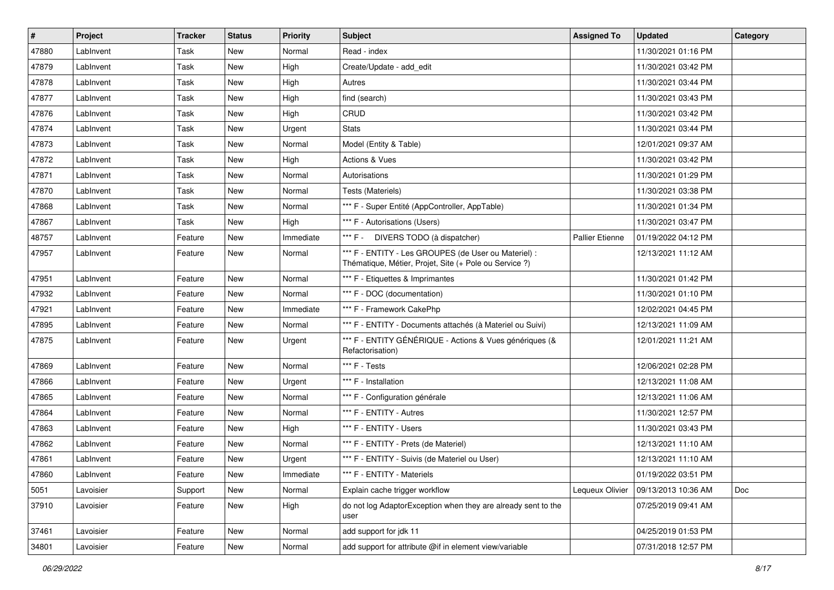| $\sharp$ | <b>Project</b> | <b>Tracker</b> | <b>Status</b> | <b>Priority</b> | <b>Subject</b>                                                                                                 | <b>Assigned To</b> | <b>Updated</b>      | Category |
|----------|----------------|----------------|---------------|-----------------|----------------------------------------------------------------------------------------------------------------|--------------------|---------------------|----------|
| 47880    | LabInvent      | Task           | New           | Normal          | Read - index                                                                                                   |                    | 11/30/2021 01:16 PM |          |
| 47879    | LabInvent      | Task           | New           | High            | Create/Update - add edit                                                                                       |                    | 11/30/2021 03:42 PM |          |
| 47878    | LabInvent      | Task           | New           | High            | Autres                                                                                                         |                    | 11/30/2021 03:44 PM |          |
| 47877    | LabInvent      | Task           | New           | High            | find (search)                                                                                                  |                    | 11/30/2021 03:43 PM |          |
| 47876    | LabInvent      | Task           | New           | High            | CRUD                                                                                                           |                    | 11/30/2021 03:42 PM |          |
| 47874    | LabInvent      | Task           | New           | Urgent          | <b>Stats</b>                                                                                                   |                    | 11/30/2021 03:44 PM |          |
| 47873    | LabInvent      | Task           | New           | Normal          | Model (Entity & Table)                                                                                         |                    | 12/01/2021 09:37 AM |          |
| 47872    | LabInvent      | Task           | New           | High            | <b>Actions &amp; Vues</b>                                                                                      |                    | 11/30/2021 03:42 PM |          |
| 47871    | LabInvent      | Task           | New           | Normal          | Autorisations                                                                                                  |                    | 11/30/2021 01:29 PM |          |
| 47870    | LabInvent      | Task           | New           | Normal          | Tests (Materiels)                                                                                              |                    | 11/30/2021 03:38 PM |          |
| 47868    | LabInvent      | Task           | New           | Normal          | *** F - Super Entité (AppController, AppTable)                                                                 |                    | 11/30/2021 01:34 PM |          |
| 47867    | LabInvent      | Task           | New           | High            | *** F - Autorisations (Users)                                                                                  |                    | 11/30/2021 03:47 PM |          |
| 48757    | LabInvent      | Feature        | New           | Immediate       | *** F - DIVERS TODO (à dispatcher)                                                                             | Pallier Etienne    | 01/19/2022 04:12 PM |          |
| 47957    | LabInvent      | Feature        | New           | Normal          | *** F - ENTITY - Les GROUPES (de User ou Materiel) :<br>Thématique, Métier, Projet, Site (+ Pole ou Service ?) |                    | 12/13/2021 11:12 AM |          |
| 47951    | LabInvent      | Feature        | New           | Normal          | *** F - Etiquettes & Imprimantes                                                                               |                    | 11/30/2021 01:42 PM |          |
| 47932    | LabInvent      | Feature        | New           | Normal          | *** F - DOC (documentation)                                                                                    |                    | 11/30/2021 01:10 PM |          |
| 47921    | LabInvent      | Feature        | New           | Immediate       | *** F - Framework CakePhp                                                                                      |                    | 12/02/2021 04:45 PM |          |
| 47895    | LabInvent      | Feature        | New           | Normal          | *** F - ENTITY - Documents attachés (à Materiel ou Suivi)                                                      |                    | 12/13/2021 11:09 AM |          |
| 47875    | LabInvent      | Feature        | New           | Urgent          | *** F - ENTITY GÉNÉRIQUE - Actions & Vues génériques (&<br>Refactorisation)                                    |                    | 12/01/2021 11:21 AM |          |
| 47869    | LabInvent      | Feature        | New           | Normal          | *** F - Tests                                                                                                  |                    | 12/06/2021 02:28 PM |          |
| 47866    | LabInvent      | Feature        | New           | Urgent          | *** F - Installation                                                                                           |                    | 12/13/2021 11:08 AM |          |
| 47865    | LabInvent      | Feature        | New           | Normal          | *** F - Configuration générale                                                                                 |                    | 12/13/2021 11:06 AM |          |
| 47864    | LabInvent      | Feature        | New           | Normal          | *** F - ENTITY - Autres                                                                                        |                    | 11/30/2021 12:57 PM |          |
| 47863    | LabInvent      | Feature        | New           | High            | *** F - ENTITY - Users                                                                                         |                    | 11/30/2021 03:43 PM |          |
| 47862    | LabInvent      | Feature        | New           | Normal          | *** F - ENTITY - Prets (de Materiel)                                                                           |                    | 12/13/2021 11:10 AM |          |
| 47861    | LabInvent      | Feature        | New           | Urgent          | *** F - ENTITY - Suivis (de Materiel ou User)                                                                  |                    | 12/13/2021 11:10 AM |          |
| 47860    | LabInvent      | Feature        | New           | Immediate       | *** F - ENTITY - Materiels                                                                                     |                    | 01/19/2022 03:51 PM |          |
| 5051     | Lavoisier      | Support        | New           | Normal          | Explain cache trigger workflow                                                                                 | Lequeux Olivier    | 09/13/2013 10:36 AM | Doc      |
| 37910    | Lavoisier      | Feature        | New           | High            | do not log AdaptorException when they are already sent to the<br>user                                          |                    | 07/25/2019 09:41 AM |          |
| 37461    | Lavoisier      | Feature        | New           | Normal          | add support for jdk 11                                                                                         |                    | 04/25/2019 01:53 PM |          |
| 34801    | Lavoisier      | Feature        | New           | Normal          | add support for attribute @if in element view/variable                                                         |                    | 07/31/2018 12:57 PM |          |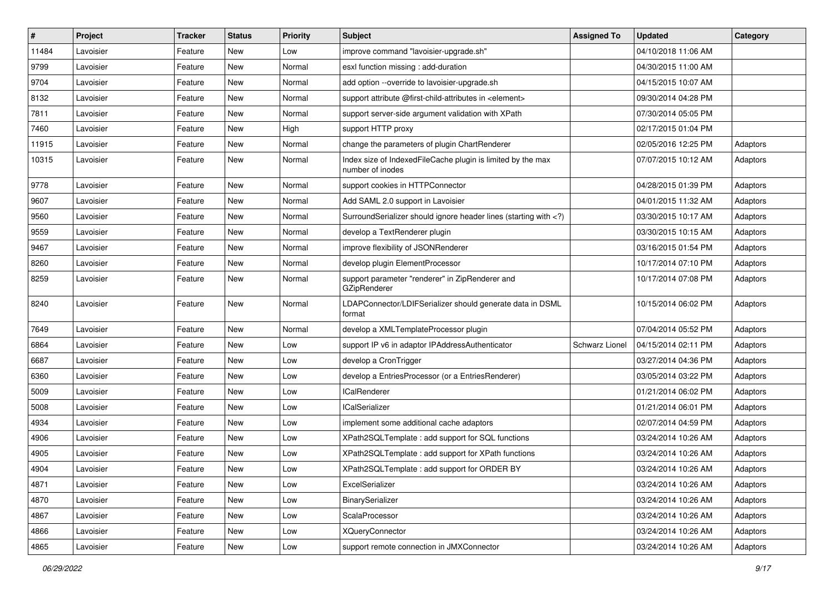| $\vert$ # | Project   | Tracker | <b>Status</b> | <b>Priority</b> | Subject                                                                                                                     | <b>Assigned To</b> | <b>Updated</b>      | Category |
|-----------|-----------|---------|---------------|-----------------|-----------------------------------------------------------------------------------------------------------------------------|--------------------|---------------------|----------|
| 11484     | Lavoisier | Feature | New           | Low             | improve command "lavoisier-upgrade.sh"                                                                                      |                    | 04/10/2018 11:06 AM |          |
| 9799      | Lavoisier | Feature | New           | Normal          | esxl function missing : add-duration                                                                                        |                    | 04/30/2015 11:00 AM |          |
| 9704      | Lavoisier | Feature | New           | Normal          | add option --override to lavoisier-upgrade.sh                                                                               |                    | 04/15/2015 10:07 AM |          |
| 8132      | Lavoisier | Feature | New           | Normal          | support attribute @first-child-attributes in <element></element>                                                            |                    | 09/30/2014 04:28 PM |          |
| 7811      | Lavoisier | Feature | New           | Normal          | support server-side argument validation with XPath                                                                          |                    | 07/30/2014 05:05 PM |          |
| 7460      | Lavoisier | Feature | New           | High            | support HTTP proxy                                                                                                          |                    | 02/17/2015 01:04 PM |          |
| 11915     | Lavoisier | Feature | New           | Normal          | change the parameters of plugin ChartRenderer                                                                               |                    | 02/05/2016 12:25 PM | Adaptors |
| 10315     | Lavoisier | Feature | New           | Normal          | Index size of IndexedFileCache plugin is limited by the max<br>number of inodes                                             |                    | 07/07/2015 10:12 AM | Adaptors |
| 9778      | Lavoisier | Feature | New           | Normal          | support cookies in HTTPConnector                                                                                            |                    | 04/28/2015 01:39 PM | Adaptors |
| 9607      | Lavoisier | Feature | New           | Normal          | Add SAML 2.0 support in Lavoisier                                                                                           |                    | 04/01/2015 11:32 AM | Adaptors |
| 9560      | Lavoisier | Feature | New           | Normal          | SurroundSerializer should ignore header lines (starting with )</td <td></td> <td>03/30/2015 10:17 AM</td> <td>Adaptors</td> |                    | 03/30/2015 10:17 AM | Adaptors |
| 9559      | Lavoisier | Feature | New           | Normal          | develop a TextRenderer plugin                                                                                               |                    | 03/30/2015 10:15 AM | Adaptors |
| 9467      | Lavoisier | Feature | <b>New</b>    | Normal          | improve flexibility of JSONRenderer                                                                                         |                    | 03/16/2015 01:54 PM | Adaptors |
| 8260      | Lavoisier | Feature | New           | Normal          | develop plugin ElementProcessor                                                                                             |                    | 10/17/2014 07:10 PM | Adaptors |
| 8259      | Lavoisier | Feature | New           | Normal          | support parameter "renderer" in ZipRenderer and<br>GZipRenderer                                                             |                    | 10/17/2014 07:08 PM | Adaptors |
| 8240      | Lavoisier | Feature | New           | Normal          | LDAPConnector/LDIFSerializer should generate data in DSML<br>format                                                         |                    | 10/15/2014 06:02 PM | Adaptors |
| 7649      | Lavoisier | Feature | New           | Normal          | develop a XMLTemplateProcessor plugin                                                                                       |                    | 07/04/2014 05:52 PM | Adaptors |
| 6864      | Lavoisier | Feature | New           | Low             | support IP v6 in adaptor IPAddressAuthenticator                                                                             | Schwarz Lionel     | 04/15/2014 02:11 PM | Adaptors |
| 6687      | Lavoisier | Feature | New           | Low             | develop a CronTrigger                                                                                                       |                    | 03/27/2014 04:36 PM | Adaptors |
| 6360      | Lavoisier | Feature | New           | Low             | develop a EntriesProcessor (or a EntriesRenderer)                                                                           |                    | 03/05/2014 03:22 PM | Adaptors |
| 5009      | Lavoisier | Feature | New           | Low             | <b>ICalRenderer</b>                                                                                                         |                    | 01/21/2014 06:02 PM | Adaptors |
| 5008      | Lavoisier | Feature | New           | Low             | <b>ICalSerializer</b>                                                                                                       |                    | 01/21/2014 06:01 PM | Adaptors |
| 4934      | Lavoisier | Feature | New           | Low             | implement some additional cache adaptors                                                                                    |                    | 02/07/2014 04:59 PM | Adaptors |
| 4906      | Lavoisier | Feature | New           | Low             | XPath2SQLTemplate : add support for SQL functions                                                                           |                    | 03/24/2014 10:26 AM | Adaptors |
| 4905      | Lavoisier | Feature | New           | Low             | XPath2SQLTemplate : add support for XPath functions                                                                         |                    | 03/24/2014 10:26 AM | Adaptors |
| 4904      | Lavoisier | Feature | New           | Low             | XPath2SQLTemplate : add support for ORDER BY                                                                                |                    | 03/24/2014 10:26 AM | Adaptors |
| 4871      | Lavoisier | Feature | New           | Low             | ExcelSerializer                                                                                                             |                    | 03/24/2014 10:26 AM | Adaptors |
| 4870      | Lavoisier | Feature | New           | Low             | BinarySerializer                                                                                                            |                    | 03/24/2014 10:26 AM | Adaptors |
| 4867      | Lavoisier | Feature | New           | Low             | ScalaProcessor                                                                                                              |                    | 03/24/2014 10:26 AM | Adaptors |
| 4866      | Lavoisier | Feature | New           | Low             | <b>XQueryConnector</b>                                                                                                      |                    | 03/24/2014 10:26 AM | Adaptors |
| 4865      | Lavoisier | Feature | New           | Low             | support remote connection in JMXConnector                                                                                   |                    | 03/24/2014 10:26 AM | Adaptors |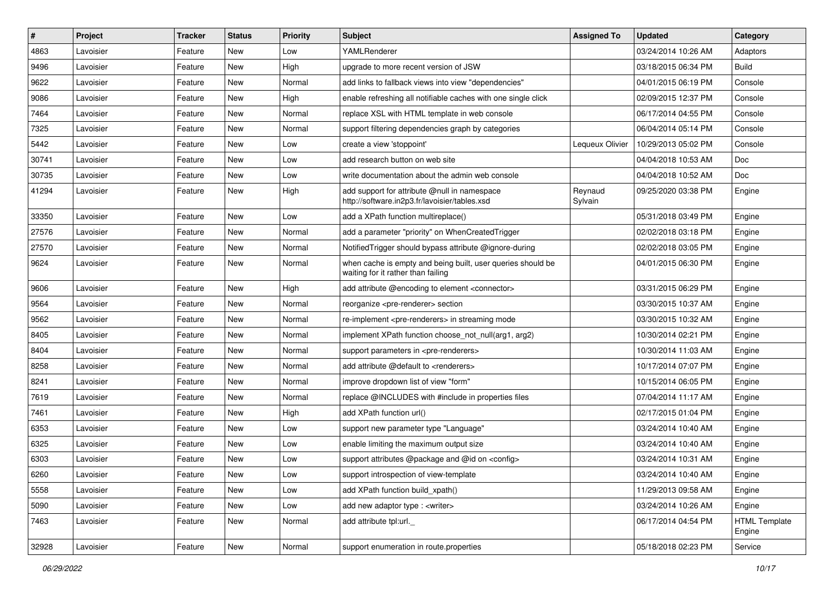| #     | <b>Project</b> | Tracker | <b>Status</b> | <b>Priority</b> | <b>Subject</b>                                                                                    | <b>Assigned To</b> | <b>Updated</b>      | Category                       |
|-------|----------------|---------|---------------|-----------------|---------------------------------------------------------------------------------------------------|--------------------|---------------------|--------------------------------|
| 4863  | Lavoisier      | Feature | New           | Low             | YAMLRenderer                                                                                      |                    | 03/24/2014 10:26 AM | Adaptors                       |
| 9496  | Lavoisier      | Feature | <b>New</b>    | High            | upgrade to more recent version of JSW                                                             |                    | 03/18/2015 06:34 PM | <b>Build</b>                   |
| 9622  | Lavoisier      | Feature | New           | Normal          | add links to fallback views into view "dependencies"                                              |                    | 04/01/2015 06:19 PM | Console                        |
| 9086  | Lavoisier      | Feature | <b>New</b>    | High            | enable refreshing all notifiable caches with one single click                                     |                    | 02/09/2015 12:37 PM | Console                        |
| 7464  | Lavoisier      | Feature | <b>New</b>    | Normal          | replace XSL with HTML template in web console                                                     |                    | 06/17/2014 04:55 PM | Console                        |
| 7325  | Lavoisier      | Feature | New           | Normal          | support filtering dependencies graph by categories                                                |                    | 06/04/2014 05:14 PM | Console                        |
| 5442  | Lavoisier      | Feature | <b>New</b>    | Low             | create a view 'stoppoint'                                                                         | Lequeux Olivier    | 10/29/2013 05:02 PM | Console                        |
| 30741 | Lavoisier      | Feature | New           | Low             | add research button on web site                                                                   |                    | 04/04/2018 10:53 AM | Doc                            |
| 30735 | Lavoisier      | Feature | <b>New</b>    | Low             | write documentation about the admin web console                                                   |                    | 04/04/2018 10:52 AM | Doc                            |
| 41294 | Lavoisier      | Feature | New           | High            | add support for attribute @null in namespace<br>http://software.in2p3.fr/lavoisier/tables.xsd     | Reynaud<br>Sylvain | 09/25/2020 03:38 PM | Engine                         |
| 33350 | Lavoisier      | Feature | <b>New</b>    | Low             | add a XPath function multireplace()                                                               |                    | 05/31/2018 03:49 PM | Engine                         |
| 27576 | Lavoisier      | Feature | New           | Normal          | add a parameter "priority" on WhenCreatedTrigger                                                  |                    | 02/02/2018 03:18 PM | Engine                         |
| 27570 | Lavoisier      | Feature | New           | Normal          | Notified Trigger should bypass attribute @ignore-during                                           |                    | 02/02/2018 03:05 PM | Engine                         |
| 9624  | Lavoisier      | Feature | New           | Normal          | when cache is empty and being built, user queries should be<br>waiting for it rather than failing |                    | 04/01/2015 06:30 PM | Engine                         |
| 9606  | Lavoisier      | Feature | <b>New</b>    | High            | add attribute @encoding to element <connector></connector>                                        |                    | 03/31/2015 06:29 PM | Engine                         |
| 9564  | Lavoisier      | Feature | <b>New</b>    | Normal          | reorganize <pre-renderer> section</pre-renderer>                                                  |                    | 03/30/2015 10:37 AM | Engine                         |
| 9562  | Lavoisier      | Feature | New           | Normal          | re-implement <pre-renderers> in streaming mode</pre-renderers>                                    |                    | 03/30/2015 10:32 AM | Engine                         |
| 8405  | Lavoisier      | Feature | <b>New</b>    | Normal          | implement XPath function choose not null(arg1, arg2)                                              |                    | 10/30/2014 02:21 PM | Engine                         |
| 8404  | Lavoisier      | Feature | New           | Normal          | support parameters in <pre-renderers></pre-renderers>                                             |                    | 10/30/2014 11:03 AM | Engine                         |
| 8258  | Lavoisier      | Feature | <b>New</b>    | Normal          | add attribute @default to <renderers></renderers>                                                 |                    | 10/17/2014 07:07 PM | Engine                         |
| 8241  | Lavoisier      | Feature | New           | Normal          | improve dropdown list of view "form"                                                              |                    | 10/15/2014 06:05 PM | Engine                         |
| 7619  | Lavoisier      | Feature | New           | Normal          | replace @INCLUDES with #include in properties files                                               |                    | 07/04/2014 11:17 AM | Engine                         |
| 7461  | Lavoisier      | Feature | New           | High            | add XPath function url()                                                                          |                    | 02/17/2015 01:04 PM | Engine                         |
| 6353  | Lavoisier      | Feature | New           | Low             | support new parameter type "Language"                                                             |                    | 03/24/2014 10:40 AM | Engine                         |
| 6325  | Lavoisier      | Feature | New           | Low             | enable limiting the maximum output size                                                           |                    | 03/24/2014 10:40 AM | Engine                         |
| 6303  | Lavoisier      | Feature | <b>New</b>    | Low             | support attributes @package and @id on <config></config>                                          |                    | 03/24/2014 10:31 AM | Engine                         |
| 6260  | Lavoisier      | Feature | New           | Low             | support introspection of view-template                                                            |                    | 03/24/2014 10:40 AM | Engine                         |
| 5558  | Lavoisier      | Feature | New           | Low             | add XPath function build xpath()                                                                  |                    | 11/29/2013 09:58 AM | Engine                         |
| 5090  | Lavoisier      | Feature | New           | Low             | add new adaptor type : < writer>                                                                  |                    | 03/24/2014 10:26 AM | Engine                         |
| 7463  | Lavoisier      | Feature | New           | Normal          | add attribute tpl:url.                                                                            |                    | 06/17/2014 04:54 PM | <b>HTML Template</b><br>Engine |
| 32928 | Lavoisier      | Feature | New           | Normal          | support enumeration in route properties                                                           |                    | 05/18/2018 02:23 PM | Service                        |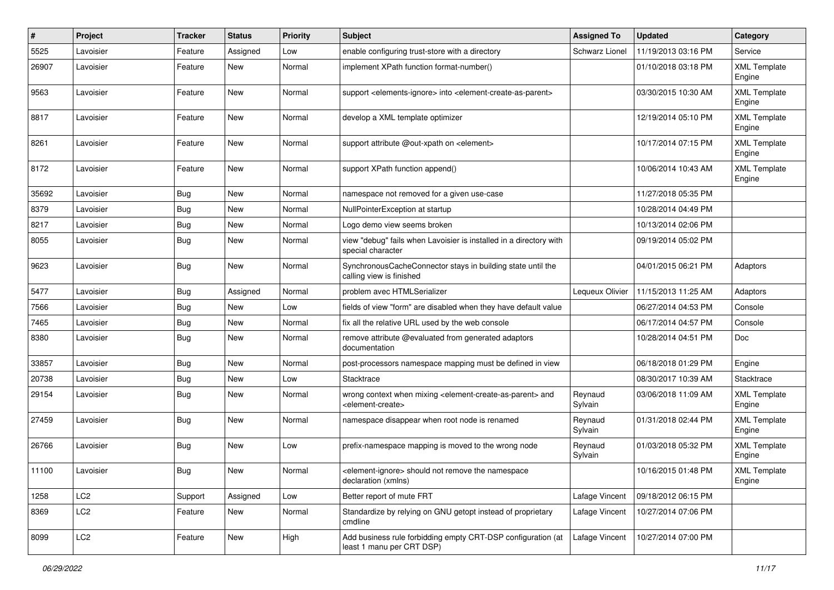| #     | Project         | <b>Tracker</b> | <b>Status</b> | <b>Priority</b> | <b>Subject</b>                                                                                                            | <b>Assigned To</b>    | <b>Updated</b>      | Category                      |
|-------|-----------------|----------------|---------------|-----------------|---------------------------------------------------------------------------------------------------------------------------|-----------------------|---------------------|-------------------------------|
| 5525  | Lavoisier       | Feature        | Assigned      | Low             | enable configuring trust-store with a directory                                                                           | <b>Schwarz Lionel</b> | 11/19/2013 03:16 PM | Service                       |
| 26907 | Lavoisier       | Feature        | New           | Normal          | implement XPath function format-number()                                                                                  |                       | 01/10/2018 03:18 PM | <b>XML Template</b><br>Engine |
| 9563  | Lavoisier       | Feature        | New           | Normal          | support <elements-ignore> into <element-create-as-parent></element-create-as-parent></elements-ignore>                    |                       | 03/30/2015 10:30 AM | <b>XML Template</b><br>Engine |
| 8817  | Lavoisier       | Feature        | New           | Normal          | develop a XML template optimizer                                                                                          |                       | 12/19/2014 05:10 PM | <b>XML Template</b><br>Engine |
| 8261  | Lavoisier       | Feature        | New           | Normal          | support attribute @out-xpath on <element></element>                                                                       |                       | 10/17/2014 07:15 PM | <b>XML Template</b><br>Engine |
| 8172  | Lavoisier       | Feature        | <b>New</b>    | Normal          | support XPath function append()                                                                                           |                       | 10/06/2014 10:43 AM | <b>XML Template</b><br>Engine |
| 35692 | Lavoisier       | Bug            | <b>New</b>    | Normal          | namespace not removed for a given use-case                                                                                |                       | 11/27/2018 05:35 PM |                               |
| 8379  | Lavoisier       | Bug            | New           | Normal          | NullPointerException at startup                                                                                           |                       | 10/28/2014 04:49 PM |                               |
| 8217  | Lavoisier       | <b>Bug</b>     | New           | Normal          | Logo demo view seems broken                                                                                               |                       | 10/13/2014 02:06 PM |                               |
| 8055  | Lavoisier       | Bug            | New           | Normal          | view "debug" fails when Lavoisier is installed in a directory with<br>special character                                   |                       | 09/19/2014 05:02 PM |                               |
| 9623  | Lavoisier       | <b>Bug</b>     | New           | Normal          | SynchronousCacheConnector stays in building state until the<br>calling view is finished                                   |                       | 04/01/2015 06:21 PM | Adaptors                      |
| 5477  | Lavoisier       | Bug            | Assigned      | Normal          | problem avec HTMLSerializer                                                                                               | Lequeux Olivier       | 11/15/2013 11:25 AM | Adaptors                      |
| 7566  | Lavoisier       | <b>Bug</b>     | New           | Low             | fields of view "form" are disabled when they have default value                                                           |                       | 06/27/2014 04:53 PM | Console                       |
| 7465  | Lavoisier       | Bug            | New           | Normal          | fix all the relative URL used by the web console                                                                          |                       | 06/17/2014 04:57 PM | Console                       |
| 8380  | Lavoisier       | Bug            | <b>New</b>    | Normal          | remove attribute @evaluated from generated adaptors<br>documentation                                                      |                       | 10/28/2014 04:51 PM | Doc                           |
| 33857 | Lavoisier       | Bug            | New           | Normal          | post-processors namespace mapping must be defined in view                                                                 |                       | 06/18/2018 01:29 PM | Engine                        |
| 20738 | Lavoisier       | Bug            | New           | Low             | Stacktrace                                                                                                                |                       | 08/30/2017 10:39 AM | Stacktrace                    |
| 29154 | Lavoisier       | <b>Bug</b>     | <b>New</b>    | Normal          | wrong context when mixing <element-create-as-parent> and<br/><element-create></element-create></element-create-as-parent> | Reynaud<br>Sylvain    | 03/06/2018 11:09 AM | <b>XML Template</b><br>Engine |
| 27459 | Lavoisier       | <b>Bug</b>     | New           | Normal          | namespace disappear when root node is renamed                                                                             | Reynaud<br>Sylvain    | 01/31/2018 02:44 PM | <b>XML Template</b><br>Engine |
| 26766 | Lavoisier       | Bug            | New           | Low             | prefix-namespace mapping is moved to the wrong node                                                                       | Reynaud<br>Sylvain    | 01/03/2018 05:32 PM | <b>XML Template</b><br>Engine |
| 11100 | Lavoisier       | Bug            | New           | Normal          | <element-ignore> should not remove the namespace<br/>declaration (xmlns)</element-ignore>                                 |                       | 10/16/2015 01:48 PM | <b>XML Template</b><br>Engine |
| 1258  | LC <sub>2</sub> | Support        | Assigned      | Low             | Better report of mute FRT                                                                                                 | Lafage Vincent        | 09/18/2012 06:15 PM |                               |
| 8369  | LC <sub>2</sub> | Feature        | New           | Normal          | Standardize by relying on GNU getopt instead of proprietary<br>cmdline                                                    | Lafage Vincent        | 10/27/2014 07:06 PM |                               |
| 8099  | LC <sub>2</sub> | Feature        | New           | High            | Add business rule forbidding empty CRT-DSP configuration (at<br>least 1 manu per CRT DSP)                                 | Lafage Vincent        | 10/27/2014 07:00 PM |                               |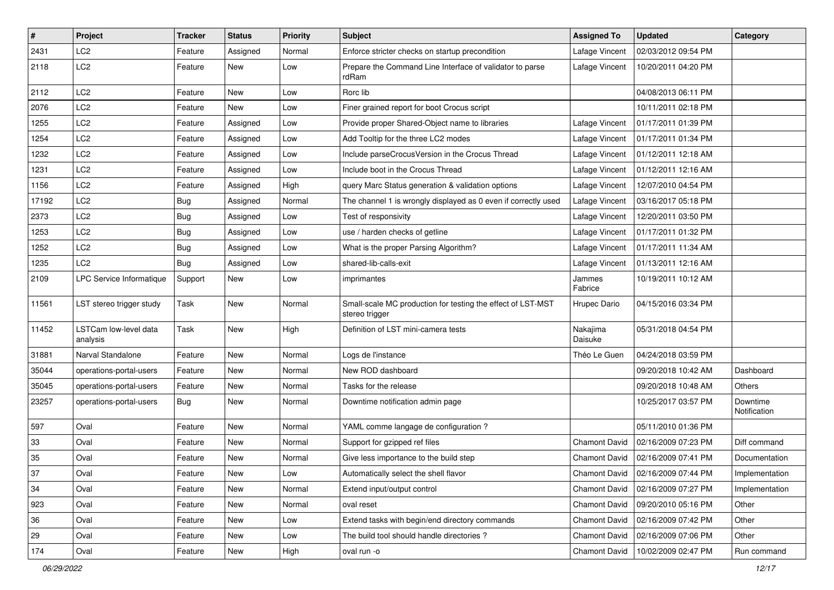| $\vert$ # | Project                           | <b>Tracker</b> | <b>Status</b> | <b>Priority</b> | <b>Subject</b>                                                                | <b>Assigned To</b>   | Updated             | <b>Category</b>          |
|-----------|-----------------------------------|----------------|---------------|-----------------|-------------------------------------------------------------------------------|----------------------|---------------------|--------------------------|
| 2431      | LC <sub>2</sub>                   | Feature        | Assigned      | Normal          | Enforce stricter checks on startup precondition                               | Lafage Vincent       | 02/03/2012 09:54 PM |                          |
| 2118      | LC <sub>2</sub>                   | Feature        | New           | Low             | Prepare the Command Line Interface of validator to parse<br>rdRam             | Lafage Vincent       | 10/20/2011 04:20 PM |                          |
| 2112      | LC <sub>2</sub>                   | Feature        | New           | Low             | Rorc lib                                                                      |                      | 04/08/2013 06:11 PM |                          |
| 2076      | LC <sub>2</sub>                   | Feature        | New           | Low             | Finer grained report for boot Crocus script                                   |                      | 10/11/2011 02:18 PM |                          |
| 1255      | LC <sub>2</sub>                   | Feature        | Assigned      | Low             | Provide proper Shared-Object name to libraries                                | Lafage Vincent       | 01/17/2011 01:39 PM |                          |
| 1254      | LC <sub>2</sub>                   | Feature        | Assigned      | Low             | Add Tooltip for the three LC2 modes                                           | Lafage Vincent       | 01/17/2011 01:34 PM |                          |
| 1232      | LC <sub>2</sub>                   | Feature        | Assigned      | Low             | Include parseCrocusVersion in the Crocus Thread                               | Lafage Vincent       | 01/12/2011 12:18 AM |                          |
| 1231      | LC <sub>2</sub>                   | Feature        | Assigned      | Low             | Include boot in the Crocus Thread                                             | Lafage Vincent       | 01/12/2011 12:16 AM |                          |
| 1156      | LC <sub>2</sub>                   | Feature        | Assigned      | High            | query Marc Status generation & validation options                             | Lafage Vincent       | 12/07/2010 04:54 PM |                          |
| 17192     | LC <sub>2</sub>                   | <b>Bug</b>     | Assigned      | Normal          | The channel 1 is wrongly displayed as 0 even if correctly used                | Lafage Vincent       | 03/16/2017 05:18 PM |                          |
| 2373      | LC <sub>2</sub>                   | <b>Bug</b>     | Assigned      | Low             | Test of responsivity                                                          | Lafage Vincent       | 12/20/2011 03:50 PM |                          |
| 1253      | LC <sub>2</sub>                   | <b>Bug</b>     | Assigned      | Low             | use / harden checks of getline                                                | Lafage Vincent       | 01/17/2011 01:32 PM |                          |
| 1252      | LC <sub>2</sub>                   | <b>Bug</b>     | Assigned      | Low             | What is the proper Parsing Algorithm?                                         | Lafage Vincent       | 01/17/2011 11:34 AM |                          |
| 1235      | LC <sub>2</sub>                   | <b>Bug</b>     | Assigned      | Low             | shared-lib-calls-exit                                                         | Lafage Vincent       | 01/13/2011 12:16 AM |                          |
| 2109      | <b>LPC Service Informatique</b>   | Support        | New           | Low             | imprimantes                                                                   | Jammes<br>Fabrice    | 10/19/2011 10:12 AM |                          |
| 11561     | LST stereo trigger study          | Task           | New           | Normal          | Small-scale MC production for testing the effect of LST-MST<br>stereo trigger | Hrupec Dario         | 04/15/2016 03:34 PM |                          |
| 11452     | LSTCam low-level data<br>analysis | Task           | New           | High            | Definition of LST mini-camera tests                                           | Nakajima<br>Daisuke  | 05/31/2018 04:54 PM |                          |
| 31881     | Narval Standalone                 | Feature        | New           | Normal          | Logs de l'instance                                                            | Théo Le Guen         | 04/24/2018 03:59 PM |                          |
| 35044     | operations-portal-users           | Feature        | New           | Normal          | New ROD dashboard                                                             |                      | 09/20/2018 10:42 AM | Dashboard                |
| 35045     | operations-portal-users           | Feature        | New           | Normal          | Tasks for the release                                                         |                      | 09/20/2018 10:48 AM | Others                   |
| 23257     | operations-portal-users           | Bug            | New           | Normal          | Downtime notification admin page                                              |                      | 10/25/2017 03:57 PM | Downtime<br>Notification |
| 597       | Oval                              | Feature        | New           | Normal          | YAML comme langage de configuration ?                                         |                      | 05/11/2010 01:36 PM |                          |
| 33        | Oval                              | Feature        | New           | Normal          | Support for gzipped ref files                                                 | Chamont David        | 02/16/2009 07:23 PM | Diff command             |
| 35        | Oval                              | Feature        | New           | Normal          | Give less importance to the build step                                        | Chamont David        | 02/16/2009 07:41 PM | Documentation            |
| 37        | Oval                              | Feature        | New           | Low             | Automatically select the shell flavor                                         | <b>Chamont David</b> | 02/16/2009 07:44 PM | Implementation           |
| 34        | Oval                              | Feature        | New           | Normal          | Extend input/output control                                                   | Chamont David        | 02/16/2009 07:27 PM | Implementation           |
| 923       | Oval                              | Feature        | New           | Normal          | oval reset                                                                    | Chamont David        | 09/20/2010 05:16 PM | Other                    |
| 36        | Oval                              | Feature        | New           | Low             | Extend tasks with begin/end directory commands                                | Chamont David        | 02/16/2009 07:42 PM | Other                    |
| 29        | Oval                              | Feature        | New           | Low             | The build tool should handle directories?                                     | Chamont David        | 02/16/2009 07:06 PM | Other                    |
| 174       | Oval                              | Feature        | New           | High            | oval run -o                                                                   | Chamont David        | 10/02/2009 02:47 PM | Run command              |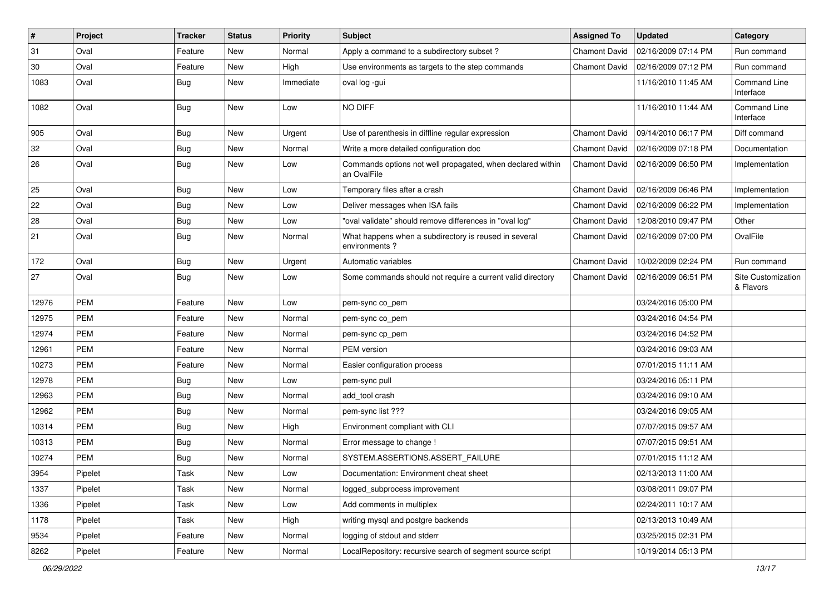| $\sharp$ | Project    | <b>Tracker</b> | <b>Status</b> | <b>Priority</b> | Subject                                                                   | <b>Assigned To</b>   | <b>Updated</b>      | Category                         |
|----------|------------|----------------|---------------|-----------------|---------------------------------------------------------------------------|----------------------|---------------------|----------------------------------|
| 31       | Oval       | Feature        | New           | Normal          | Apply a command to a subdirectory subset?                                 | Chamont David        | 02/16/2009 07:14 PM | Run command                      |
| 30       | Oval       | Feature        | New           | High            | Use environments as targets to the step commands                          | <b>Chamont David</b> | 02/16/2009 07:12 PM | Run command                      |
| 1083     | Oval       | <b>Bug</b>     | New           | Immediate       | oval log -gui                                                             |                      | 11/16/2010 11:45 AM | <b>Command Line</b><br>Interface |
| 1082     | Oval       | <b>Bug</b>     | New           | Low             | NO DIFF                                                                   |                      | 11/16/2010 11:44 AM | Command Line<br>Interface        |
| 905      | Oval       | <b>Bug</b>     | New           | Urgent          | Use of parenthesis in diffline regular expression                         | <b>Chamont David</b> | 09/14/2010 06:17 PM | Diff command                     |
| 32       | Oval       | Bug            | New           | Normal          | Write a more detailed configuration doc                                   | <b>Chamont David</b> | 02/16/2009 07:18 PM | Documentation                    |
| 26       | Oval       | Bug            | New           | Low             | Commands options not well propagated, when declared within<br>an OvalFile | <b>Chamont David</b> | 02/16/2009 06:50 PM | Implementation                   |
| 25       | Oval       | Bug            | New           | Low             | Temporary files after a crash                                             | Chamont David        | 02/16/2009 06:46 PM | Implementation                   |
| 22       | Oval       | <b>Bug</b>     | New           | Low             | Deliver messages when ISA fails                                           | <b>Chamont David</b> | 02/16/2009 06:22 PM | Implementation                   |
| 28       | Oval       | Bug            | New           | Low             | "oval validate" should remove differences in "oval log"                   | Chamont David        | 12/08/2010 09:47 PM | Other                            |
| 21       | Oval       | Bug            | New           | Normal          | What happens when a subdirectory is reused in several<br>environments?    | Chamont David        | 02/16/2009 07:00 PM | OvalFile                         |
| 172      | Oval       | <b>Bug</b>     | New           | Urgent          | Automatic variables                                                       | <b>Chamont David</b> | 10/02/2009 02:24 PM | Run command                      |
| 27       | Oval       | <b>Bug</b>     | New           | Low             | Some commands should not require a current valid directory                | <b>Chamont David</b> | 02/16/2009 06:51 PM | Site Customization<br>& Flavors  |
| 12976    | <b>PEM</b> | Feature        | New           | Low             | pem-sync co pem                                                           |                      | 03/24/2016 05:00 PM |                                  |
| 12975    | <b>PEM</b> | Feature        | New           | Normal          | pem-sync co_pem                                                           |                      | 03/24/2016 04:54 PM |                                  |
| 12974    | <b>PEM</b> | Feature        | New           | Normal          | pem-sync cp_pem                                                           |                      | 03/24/2016 04:52 PM |                                  |
| 12961    | PEM        | Feature        | New           | Normal          | PEM version                                                               |                      | 03/24/2016 09:03 AM |                                  |
| 10273    | <b>PEM</b> | Feature        | New           | Normal          | Easier configuration process                                              |                      | 07/01/2015 11:11 AM |                                  |
| 12978    | PEM        | <b>Bug</b>     | New           | Low             | pem-sync pull                                                             |                      | 03/24/2016 05:11 PM |                                  |
| 12963    | <b>PEM</b> | <b>Bug</b>     | <b>New</b>    | Normal          | add tool crash                                                            |                      | 03/24/2016 09:10 AM |                                  |
| 12962    | <b>PEM</b> | Bug            | New           | Normal          | pem-sync list ???                                                         |                      | 03/24/2016 09:05 AM |                                  |
| 10314    | <b>PEM</b> | <b>Bug</b>     | New           | High            | Environment compliant with CLI                                            |                      | 07/07/2015 09:57 AM |                                  |
| 10313    | <b>PEM</b> | Bug            | New           | Normal          | Error message to change !                                                 |                      | 07/07/2015 09:51 AM |                                  |
| 10274    | PEM        | <b>Bug</b>     | New           | Normal          | SYSTEM.ASSERTIONS.ASSERT FAILURE                                          |                      | 07/01/2015 11:12 AM |                                  |
| 3954     | Pipelet    | Task           | New           | Low             | Documentation: Environment cheat sheet                                    |                      | 02/13/2013 11:00 AM |                                  |
| 1337     | Pipelet    | Task           | New           | Normal          | logged subprocess improvement                                             |                      | 03/08/2011 09:07 PM |                                  |
| 1336     | Pipelet    | Task           | New           | Low             | Add comments in multiplex                                                 |                      | 02/24/2011 10:17 AM |                                  |
| 1178     | Pipelet    | Task           | New           | High            | writing mysql and postgre backends                                        |                      | 02/13/2013 10:49 AM |                                  |
| 9534     | Pipelet    | Feature        | New           | Normal          | logging of stdout and stderr                                              |                      | 03/25/2015 02:31 PM |                                  |
| 8262     | Pipelet    | Feature        | New           | Normal          | LocalRepository: recursive search of segment source script                |                      | 10/19/2014 05:13 PM |                                  |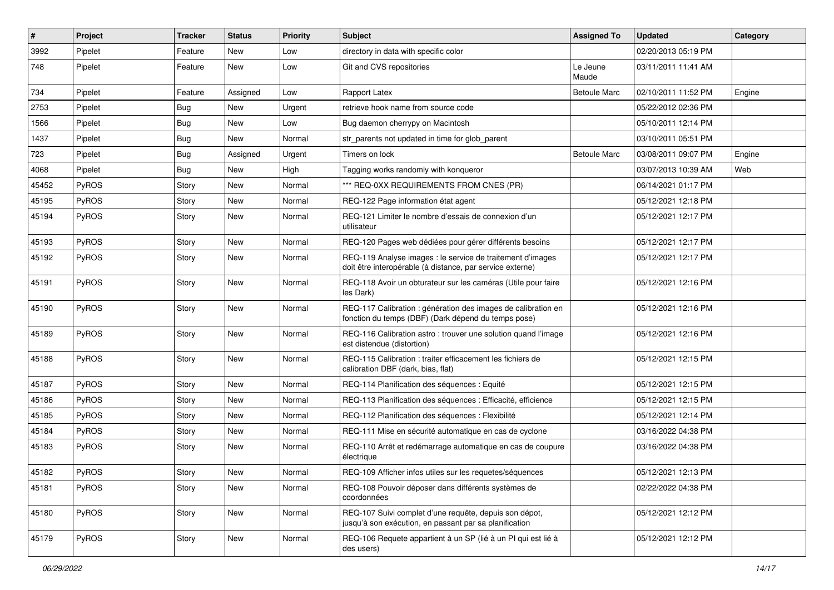| #     | Project      | <b>Tracker</b> | <b>Status</b> | <b>Priority</b> | Subject                                                                                                                 | <b>Assigned To</b>  | <b>Updated</b>      | Category |
|-------|--------------|----------------|---------------|-----------------|-------------------------------------------------------------------------------------------------------------------------|---------------------|---------------------|----------|
| 3992  | Pipelet      | Feature        | New           | Low             | directory in data with specific color                                                                                   |                     | 02/20/2013 05:19 PM |          |
| 748   | Pipelet      | Feature        | New           | Low             | Git and CVS repositories                                                                                                | Le Jeune<br>Maude   | 03/11/2011 11:41 AM |          |
| 734   | Pipelet      | Feature        | Assigned      | Low             | Rapport Latex                                                                                                           | <b>Betoule Marc</b> | 02/10/2011 11:52 PM | Engine   |
| 2753  | Pipelet      | <b>Bug</b>     | New           | Urgent          | retrieve hook name from source code                                                                                     |                     | 05/22/2012 02:36 PM |          |
| 1566  | Pipelet      | <b>Bug</b>     | New           | Low             | Bug daemon cherrypy on Macintosh                                                                                        |                     | 05/10/2011 12:14 PM |          |
| 1437  | Pipelet      | <b>Bug</b>     | New           | Normal          | str_parents not updated in time for glob_parent                                                                         |                     | 03/10/2011 05:51 PM |          |
| 723   | Pipelet      | <b>Bug</b>     | Assigned      | Urgent          | Timers on lock                                                                                                          | <b>Betoule Marc</b> | 03/08/2011 09:07 PM | Engine   |
| 4068  | Pipelet      | <b>Bug</b>     | New           | High            | Tagging works randomly with konqueror                                                                                   |                     | 03/07/2013 10:39 AM | Web      |
| 45452 | PyROS        | Story          | New           | Normal          | *** REQ-0XX REQUIREMENTS FROM CNES (PR)                                                                                 |                     | 06/14/2021 01:17 PM |          |
| 45195 | PyROS        | Story          | New           | Normal          | REQ-122 Page information état agent                                                                                     |                     | 05/12/2021 12:18 PM |          |
| 45194 | PyROS        | Story          | New           | Normal          | REQ-121 Limiter le nombre d'essais de connexion d'un<br>utilisateur                                                     |                     | 05/12/2021 12:17 PM |          |
| 45193 | PyROS        | Story          | New           | Normal          | REQ-120 Pages web dédiées pour gérer différents besoins                                                                 |                     | 05/12/2021 12:17 PM |          |
| 45192 | PyROS        | Story          | New           | Normal          | REQ-119 Analyse images : le service de traitement d'images<br>doit être interopérable (à distance, par service externe) |                     | 05/12/2021 12:17 PM |          |
| 45191 | PyROS        | Story          | New           | Normal          | REQ-118 Avoir un obturateur sur les caméras (Utile pour faire<br>les Dark)                                              |                     | 05/12/2021 12:16 PM |          |
| 45190 | <b>PyROS</b> | Story          | New           | Normal          | REQ-117 Calibration : génération des images de calibration en<br>fonction du temps (DBF) (Dark dépend du temps pose)    |                     | 05/12/2021 12:16 PM |          |
| 45189 | PyROS        | Story          | New           | Normal          | REQ-116 Calibration astro : trouver une solution quand l'image<br>est distendue (distortion)                            |                     | 05/12/2021 12:16 PM |          |
| 45188 | PyROS        | Story          | New           | Normal          | REQ-115 Calibration : traiter efficacement les fichiers de<br>calibration DBF (dark, bias, flat)                        |                     | 05/12/2021 12:15 PM |          |
| 45187 | PyROS        | Story          | New           | Normal          | REQ-114 Planification des séquences : Equité                                                                            |                     | 05/12/2021 12:15 PM |          |
| 45186 | PyROS        | Story          | New           | Normal          | REQ-113 Planification des séquences : Efficacité, efficience                                                            |                     | 05/12/2021 12:15 PM |          |
| 45185 | PyROS        | Story          | New           | Normal          | REQ-112 Planification des séquences : Flexibilité                                                                       |                     | 05/12/2021 12:14 PM |          |
| 45184 | PyROS        | Story          | New           | Normal          | REQ-111 Mise en sécurité automatique en cas de cyclone                                                                  |                     | 03/16/2022 04:38 PM |          |
| 45183 | PyROS        | Story          | New           | Normal          | REQ-110 Arrêt et redémarrage automatique en cas de coupure<br>électrique                                                |                     | 03/16/2022 04:38 PM |          |
| 45182 | PyROS        | Story          | New           | Normal          | REQ-109 Afficher infos utiles sur les requetes/séquences                                                                |                     | 05/12/2021 12:13 PM |          |
| 45181 | PyROS        | Story          | New           | Normal          | REQ-108 Pouvoir déposer dans différents systèmes de<br>coordonnées                                                      |                     | 02/22/2022 04:38 PM |          |
| 45180 | PyROS        | Story          | New           | Normal          | REQ-107 Suivi complet d'une requête, depuis son dépot,<br>jusqu'à son exécution, en passant par sa planification        |                     | 05/12/2021 12:12 PM |          |
| 45179 | PyROS        | Story          | New           | Normal          | REQ-106 Requete appartient à un SP (lié à un PI qui est lié à<br>des users)                                             |                     | 05/12/2021 12:12 PM |          |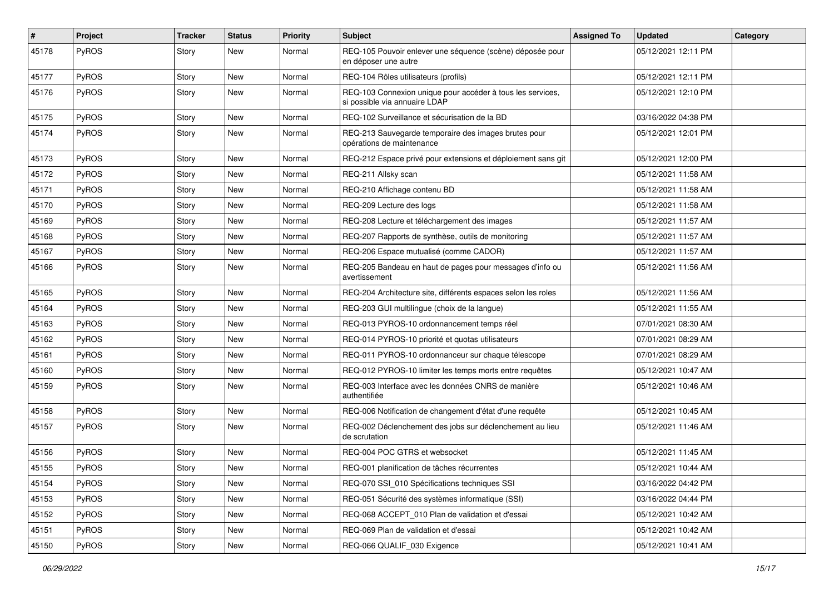| #     | Project      | <b>Tracker</b> | <b>Status</b> | <b>Priority</b> | <b>Subject</b>                                                                              | <b>Assigned To</b> | <b>Updated</b>      | Category |
|-------|--------------|----------------|---------------|-----------------|---------------------------------------------------------------------------------------------|--------------------|---------------------|----------|
| 45178 | PyROS        | Story          | New           | Normal          | REQ-105 Pouvoir enlever une séquence (scène) déposée pour<br>en déposer une autre           |                    | 05/12/2021 12:11 PM |          |
| 45177 | <b>PyROS</b> | Story          | New           | Normal          | REQ-104 Rôles utilisateurs (profils)                                                        |                    | 05/12/2021 12:11 PM |          |
| 45176 | PyROS        | Story          | New           | Normal          | REQ-103 Connexion unique pour accéder à tous les services,<br>si possible via annuaire LDAP |                    | 05/12/2021 12:10 PM |          |
| 45175 | PyROS        | Story          | New           | Normal          | REQ-102 Surveillance et sécurisation de la BD                                               |                    | 03/16/2022 04:38 PM |          |
| 45174 | PyROS        | Story          | New           | Normal          | REQ-213 Sauvegarde temporaire des images brutes pour<br>opérations de maintenance           |                    | 05/12/2021 12:01 PM |          |
| 45173 | PyROS        | Story          | New           | Normal          | REQ-212 Espace privé pour extensions et déploiement sans git                                |                    | 05/12/2021 12:00 PM |          |
| 45172 | PyROS        | Story          | New           | Normal          | REQ-211 Allsky scan                                                                         |                    | 05/12/2021 11:58 AM |          |
| 45171 | PyROS        | Story          | New           | Normal          | REQ-210 Affichage contenu BD                                                                |                    | 05/12/2021 11:58 AM |          |
| 45170 | PyROS        | Story          | New           | Normal          | REQ-209 Lecture des logs                                                                    |                    | 05/12/2021 11:58 AM |          |
| 45169 | PyROS        | Story          | New           | Normal          | REQ-208 Lecture et téléchargement des images                                                |                    | 05/12/2021 11:57 AM |          |
| 45168 | PyROS        | Story          | New           | Normal          | REQ-207 Rapports de synthèse, outils de monitoring                                          |                    | 05/12/2021 11:57 AM |          |
| 45167 | PyROS        | Story          | New           | Normal          | REQ-206 Espace mutualisé (comme CADOR)                                                      |                    | 05/12/2021 11:57 AM |          |
| 45166 | <b>PyROS</b> | Story          | New           | Normal          | REQ-205 Bandeau en haut de pages pour messages d'info ou<br>avertissement                   |                    | 05/12/2021 11:56 AM |          |
| 45165 | PyROS        | Story          | New           | Normal          | REQ-204 Architecture site, différents espaces selon les roles                               |                    | 05/12/2021 11:56 AM |          |
| 45164 | <b>PyROS</b> | Story          | New           | Normal          | REQ-203 GUI multilingue (choix de la langue)                                                |                    | 05/12/2021 11:55 AM |          |
| 45163 | PyROS        | Story          | New           | Normal          | REQ-013 PYROS-10 ordonnancement temps réel                                                  |                    | 07/01/2021 08:30 AM |          |
| 45162 | PyROS        | Story          | New           | Normal          | REQ-014 PYROS-10 priorité et quotas utilisateurs                                            |                    | 07/01/2021 08:29 AM |          |
| 45161 | PyROS        | Story          | New           | Normal          | REQ-011 PYROS-10 ordonnanceur sur chaque télescope                                          |                    | 07/01/2021 08:29 AM |          |
| 45160 | PyROS        | Story          | New           | Normal          | REQ-012 PYROS-10 limiter les temps morts entre requêtes                                     |                    | 05/12/2021 10:47 AM |          |
| 45159 | PyROS        | Story          | New           | Normal          | REQ-003 Interface avec les données CNRS de manière<br>authentifiée                          |                    | 05/12/2021 10:46 AM |          |
| 45158 | PyROS        | Story          | New           | Normal          | REQ-006 Notification de changement d'état d'une requête                                     |                    | 05/12/2021 10:45 AM |          |
| 45157 | PyROS        | Story          | New           | Normal          | REQ-002 Déclenchement des jobs sur déclenchement au lieu<br>de scrutation                   |                    | 05/12/2021 11:46 AM |          |
| 45156 | PyROS        | Story          | New           | Normal          | REQ-004 POC GTRS et websocket                                                               |                    | 05/12/2021 11:45 AM |          |
| 45155 | PyROS        | Story          | New           | Normal          | REQ-001 planification de tâches récurrentes                                                 |                    | 05/12/2021 10:44 AM |          |
| 45154 | PyROS        | Story          | New           | Normal          | REQ-070 SSI_010 Spécifications techniques SSI                                               |                    | 03/16/2022 04:42 PM |          |
| 45153 | PyROS        | Story          | New           | Normal          | REQ-051 Sécurité des systèmes informatique (SSI)                                            |                    | 03/16/2022 04:44 PM |          |
| 45152 | PyROS        | Story          | New           | Normal          | REQ-068 ACCEPT_010 Plan de validation et d'essai                                            |                    | 05/12/2021 10:42 AM |          |
| 45151 | PyROS        | Story          | New           | Normal          | REQ-069 Plan de validation et d'essai                                                       |                    | 05/12/2021 10:42 AM |          |
| 45150 | PyROS        | Story          | New           | Normal          | REQ-066 QUALIF_030 Exigence                                                                 |                    | 05/12/2021 10:41 AM |          |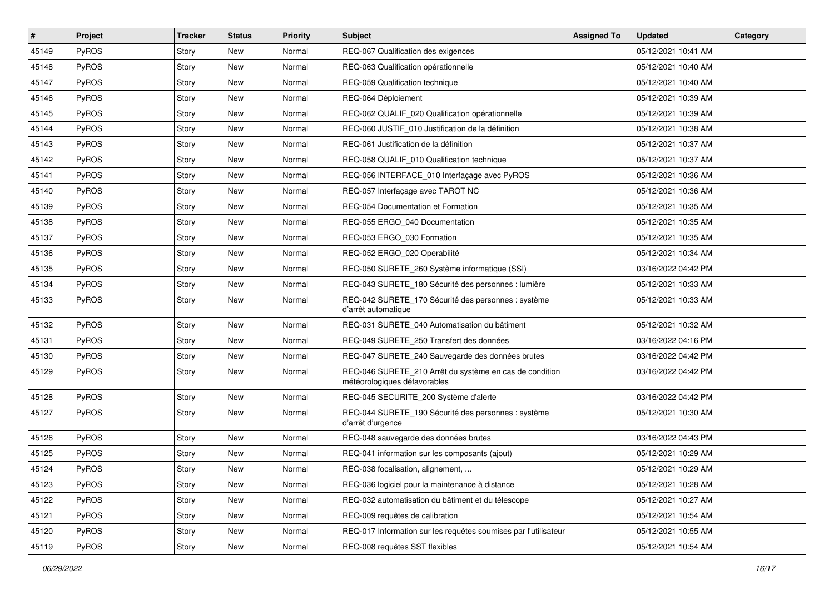| $\sharp$ | Project      | <b>Tracker</b> | <b>Status</b> | <b>Priority</b> | <b>Subject</b>                                                                          | <b>Assigned To</b> | <b>Updated</b>      | Category |
|----------|--------------|----------------|---------------|-----------------|-----------------------------------------------------------------------------------------|--------------------|---------------------|----------|
| 45149    | PyROS        | Story          | New           | Normal          | REQ-067 Qualification des exigences                                                     |                    | 05/12/2021 10:41 AM |          |
| 45148    | PyROS        | Story          | New           | Normal          | REQ-063 Qualification opérationnelle                                                    |                    | 05/12/2021 10:40 AM |          |
| 45147    | PyROS        | Story          | New           | Normal          | REQ-059 Qualification technique                                                         |                    | 05/12/2021 10:40 AM |          |
| 45146    | PyROS        | Story          | New           | Normal          | REQ-064 Déploiement                                                                     |                    | 05/12/2021 10:39 AM |          |
| 45145    | PyROS        | Story          | New           | Normal          | REQ-062 QUALIF 020 Qualification opérationnelle                                         |                    | 05/12/2021 10:39 AM |          |
| 45144    | PyROS        | Story          | New           | Normal          | REQ-060 JUSTIF_010 Justification de la définition                                       |                    | 05/12/2021 10:38 AM |          |
| 45143    | PyROS        | Story          | New           | Normal          | REQ-061 Justification de la définition                                                  |                    | 05/12/2021 10:37 AM |          |
| 45142    | PyROS        | Story          | New           | Normal          | REQ-058 QUALIF 010 Qualification technique                                              |                    | 05/12/2021 10:37 AM |          |
| 45141    | PyROS        | Story          | New           | Normal          | REQ-056 INTERFACE_010 Interfaçage avec PyROS                                            |                    | 05/12/2021 10:36 AM |          |
| 45140    | PyROS        | Story          | New           | Normal          | REQ-057 Interfaçage avec TAROT NC                                                       |                    | 05/12/2021 10:36 AM |          |
| 45139    | PyROS        | Story          | New           | Normal          | REQ-054 Documentation et Formation                                                      |                    | 05/12/2021 10:35 AM |          |
| 45138    | PyROS        | Story          | New           | Normal          | REQ-055 ERGO 040 Documentation                                                          |                    | 05/12/2021 10:35 AM |          |
| 45137    | PyROS        | Story          | New           | Normal          | REQ-053 ERGO_030 Formation                                                              |                    | 05/12/2021 10:35 AM |          |
| 45136    | PyROS        | Story          | New           | Normal          | REQ-052 ERGO 020 Operabilité                                                            |                    | 05/12/2021 10:34 AM |          |
| 45135    | PyROS        | Story          | New           | Normal          | REQ-050 SURETE_260 Système informatique (SSI)                                           |                    | 03/16/2022 04:42 PM |          |
| 45134    | <b>PyROS</b> | Story          | New           | Normal          | REQ-043 SURETE_180 Sécurité des personnes : lumière                                     |                    | 05/12/2021 10:33 AM |          |
| 45133    | PyROS        | Story          | New           | Normal          | REQ-042 SURETE_170 Sécurité des personnes : système<br>d'arrêt automatique              |                    | 05/12/2021 10:33 AM |          |
| 45132    | PyROS        | Story          | New           | Normal          | REQ-031 SURETE_040 Automatisation du bâtiment                                           |                    | 05/12/2021 10:32 AM |          |
| 45131    | PyROS        | Story          | New           | Normal          | REQ-049 SURETE_250 Transfert des données                                                |                    | 03/16/2022 04:16 PM |          |
| 45130    | PyROS        | Story          | New           | Normal          | REQ-047 SURETE_240 Sauvegarde des données brutes                                        |                    | 03/16/2022 04:42 PM |          |
| 45129    | PyROS        | Story          | New           | Normal          | REQ-046 SURETE_210 Arrêt du système en cas de condition<br>météorologiques défavorables |                    | 03/16/2022 04:42 PM |          |
| 45128    | PyROS        | Story          | New           | Normal          | REQ-045 SECURITE_200 Système d'alerte                                                   |                    | 03/16/2022 04:42 PM |          |
| 45127    | PyROS        | Story          | New           | Normal          | REQ-044 SURETE 190 Sécurité des personnes : système<br>d'arrêt d'urgence                |                    | 05/12/2021 10:30 AM |          |
| 45126    | PyROS        | Story          | New           | Normal          | REQ-048 sauvegarde des données brutes                                                   |                    | 03/16/2022 04:43 PM |          |
| 45125    | PyROS        | Story          | New           | Normal          | REQ-041 information sur les composants (ajout)                                          |                    | 05/12/2021 10:29 AM |          |
| 45124    | PyROS        | Story          | New           | Normal          | REQ-038 focalisation, alignement,                                                       |                    | 05/12/2021 10:29 AM |          |
| 45123    | PyROS        | Story          | New           | Normal          | REQ-036 logiciel pour la maintenance à distance                                         |                    | 05/12/2021 10:28 AM |          |
| 45122    | PyROS        | Story          | New           | Normal          | REQ-032 automatisation du bâtiment et du télescope                                      |                    | 05/12/2021 10:27 AM |          |
| 45121    | <b>PyROS</b> | Story          | New           | Normal          | REQ-009 requêtes de calibration                                                         |                    | 05/12/2021 10:54 AM |          |
| 45120    | PyROS        | Story          | New           | Normal          | REQ-017 Information sur les requêtes soumises par l'utilisateur                         |                    | 05/12/2021 10:55 AM |          |
| 45119    | PyROS        | Story          | New           | Normal          | REQ-008 requêtes SST flexibles                                                          |                    | 05/12/2021 10:54 AM |          |